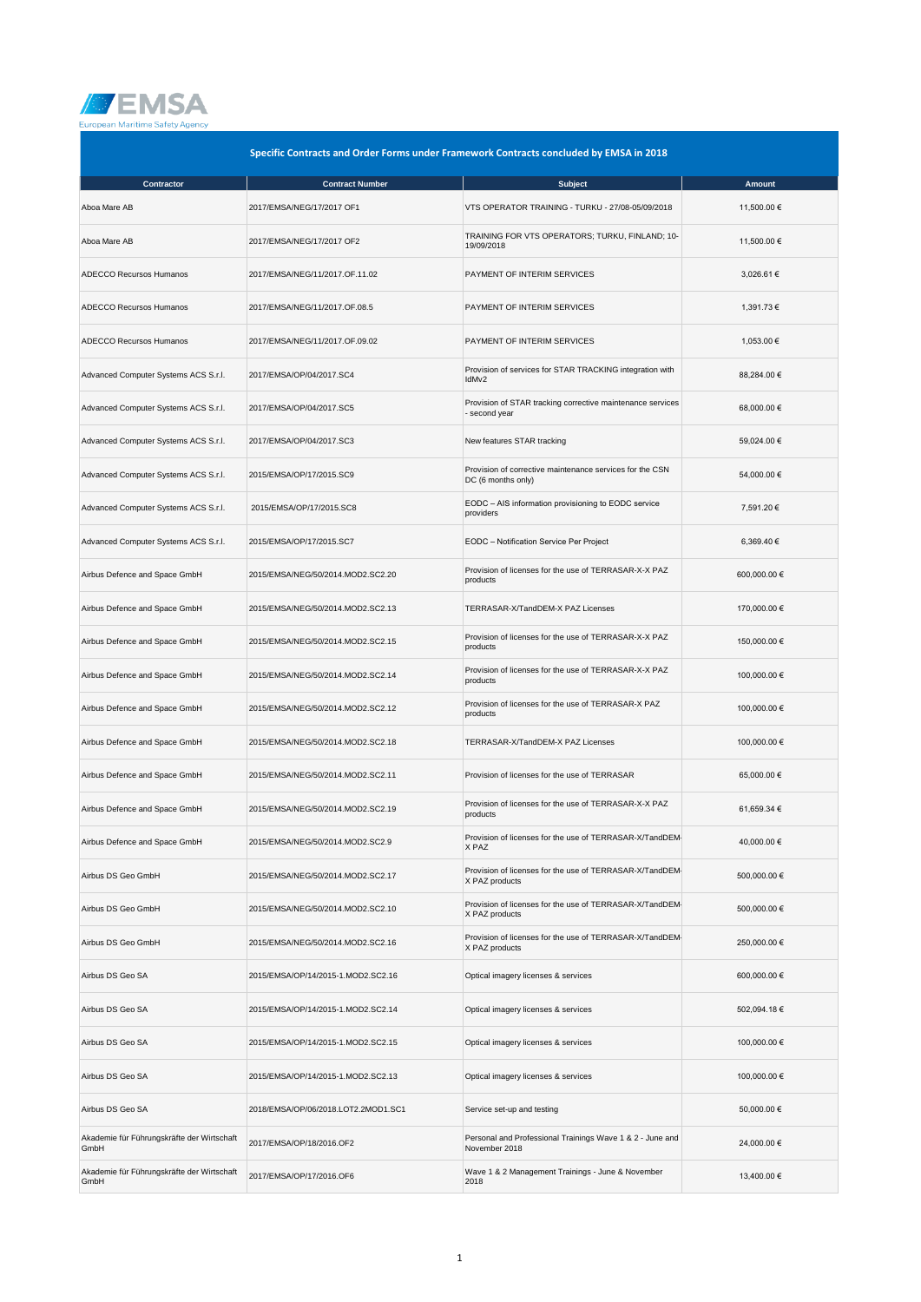

| Specific Contracts and Order Forms under Framework Contracts concluded by EMSA in 2018 |                                     |                                                                                |              |
|----------------------------------------------------------------------------------------|-------------------------------------|--------------------------------------------------------------------------------|--------------|
| Contractor                                                                             | <b>Contract Number</b>              | <b>Subject</b>                                                                 | Amount       |
| Aboa Mare AB                                                                           | 2017/EMSA/NEG/17/2017 OF1           | VTS OPERATOR TRAINING - TURKU - 27/08-05/09/2018                               | 11,500.00 €  |
| Aboa Mare AB                                                                           | 2017/EMSA/NEG/17/2017 OF2           | TRAINING FOR VTS OPERATORS; TURKU, FINLAND; 10-<br>19/09/2018                  | 11.500.00 €  |
| <b>ADECCO Recursos Humanos</b>                                                         | 2017/EMSA/NEG/11/2017.OF.11.02      | PAYMENT OF INTERIM SERVICES                                                    | 3,026.61 €   |
| ADECCO Recursos Humanos                                                                | 2017/EMSA/NEG/11/2017.OF.08.5       | PAYMENT OF INTERIM SERVICES                                                    | 1,391.73 €   |
| <b>ADECCO Recursos Humanos</b>                                                         | 2017/EMSA/NEG/11/2017.OF.09.02      | PAYMENT OF INTERIM SERVICES                                                    | 1,053.00 €   |
| Advanced Computer Systems ACS S.r.l.                                                   | 2017/EMSA/OP/04/2017.SC4            | Provision of services for STAR TRACKING integration with<br>IdMv2              | 88,284.00 €  |
| Advanced Computer Systems ACS S.r.l.                                                   | 2017/EMSA/OP/04/2017.SC5            | Provision of STAR tracking corrective maintenance services<br>- second year    | 68,000.00 €  |
| Advanced Computer Systems ACS S.r.l.                                                   | 2017/EMSA/OP/04/2017.SC3            | New features STAR tracking                                                     | 59,024.00 €  |
| Advanced Computer Systems ACS S.r.l.                                                   | 2015/EMSA/OP/17/2015.SC9            | Provision of corrective maintenance services for the CSN<br>DC (6 months only) | 54,000.00 €  |
| Advanced Computer Systems ACS S.r.l.                                                   | 2015/EMSA/OP/17/2015.SC8            | EODC - AIS information provisioning to EODC service<br>providers               | 7,591.20 €   |
| Advanced Computer Systems ACS S.r.l.                                                   | 2015/EMSA/OP/17/2015.SC7            | EODC - Notification Service Per Project                                        | 6,369.40 €   |
| Airbus Defence and Space GmbH                                                          | 2015/EMSA/NEG/50/2014.MOD2.SC2.20   | Provision of licenses for the use of TERRASAR-X-X PAZ<br>products              | 600,000.00 € |
| Airbus Defence and Space GmbH                                                          | 2015/EMSA/NEG/50/2014.MOD2.SC2.13   | TERRASAR-X/TandDEM-X PAZ Licenses                                              | 170,000.00 € |
| Airbus Defence and Space GmbH                                                          | 2015/EMSA/NEG/50/2014.MOD2.SC2.15   | Provision of licenses for the use of TERRASAR-X-X PAZ<br>products              | 150,000.00 € |
| Airbus Defence and Space GmbH                                                          | 2015/EMSA/NEG/50/2014.MOD2.SC2.14   | Provision of licenses for the use of TERRASAR-X-X PAZ<br>products              | 100,000.00 € |
| Airbus Defence and Space GmbH                                                          | 2015/EMSA/NEG/50/2014.MOD2.SC2.12   | Provision of licenses for the use of TERRASAR-X PAZ<br>products                | 100,000.00 € |
| Airbus Defence and Space GmbH                                                          | 2015/EMSA/NEG/50/2014.MOD2.SC2.18   | TERRASAR-X/TandDEM-X PAZ Licenses                                              | 100,000.00 € |
| Airbus Defence and Space GmbH                                                          | 2015/EMSA/NEG/50/2014.MOD2.SC2.11   | Provision of licenses for the use of TERRASAR                                  | 65,000.00 €  |
| Airbus Defence and Space GmbH                                                          | 2015/EMSA/NEG/50/2014.MOD2.SC2.19   | Provision of licenses for the use of TERRASAR-X-X PAZ<br>products              | 61,659.34 €  |
| Airbus Defence and Space GmbH                                                          | 2015/EMSA/NEG/50/2014.MOD2.SC2.9    | Provision of licenses for the use of TERRASAR-X/TandDEM-<br>X PAZ              | 40,000.00 €  |
| Airbus DS Geo GmbH                                                                     | 2015/EMSA/NEG/50/2014.MOD2.SC2.17   | Provision of licenses for the use of TERRASAR-X/TandDEM-<br>X PAZ products     | 500,000.00 € |
| Airbus DS Geo GmbH                                                                     | 2015/EMSA/NEG/50/2014.MOD2.SC2.10   | Provision of licenses for the use of TERRASAR-X/TandDEM-<br>X PAZ products     | 500,000.00 € |
| Airbus DS Geo GmbH                                                                     | 2015/EMSA/NEG/50/2014.MOD2.SC2.16   | Provision of licenses for the use of TERRASAR-X/TandDEM-<br>X PAZ products     | 250,000.00 € |
| Airbus DS Geo SA                                                                       | 2015/EMSA/OP/14/2015-1.MOD2.SC2.16  | Optical imagery licenses & services                                            | 600,000.00 € |
| Airbus DS Geo SA                                                                       | 2015/EMSA/OP/14/2015-1.MOD2.SC2.14  | Optical imagery licenses & services                                            | 502,094.18 € |
| Airbus DS Geo SA                                                                       | 2015/EMSA/OP/14/2015-1.MOD2.SC2.15  | Optical imagery licenses & services                                            | 100,000.00 € |
| Airbus DS Geo SA                                                                       | 2015/EMSA/OP/14/2015-1.MOD2.SC2.13  | Optical imagery licenses & services                                            | 100,000.00 € |
| Airbus DS Geo SA                                                                       | 2018/EMSA/OP/06/2018.LOT2.2MOD1.SC1 | Service set-up and testing                                                     | 50,000.00 €  |
| Akademie für Führungskräfte der Wirtschaft<br>GmbH                                     | 2017/EMSA/OP/18/2016.OF2            | Personal and Professional Trainings Wave 1 & 2 - June and<br>November 2018     | 24,000.00 €  |
| Akademie für Führungskräfte der Wirtschaft<br>GmbH                                     | 2017/EMSA/OP/17/2016.OF6            | Wave 1 & 2 Management Trainings - June & November<br>2018                      | 13,400.00 €  |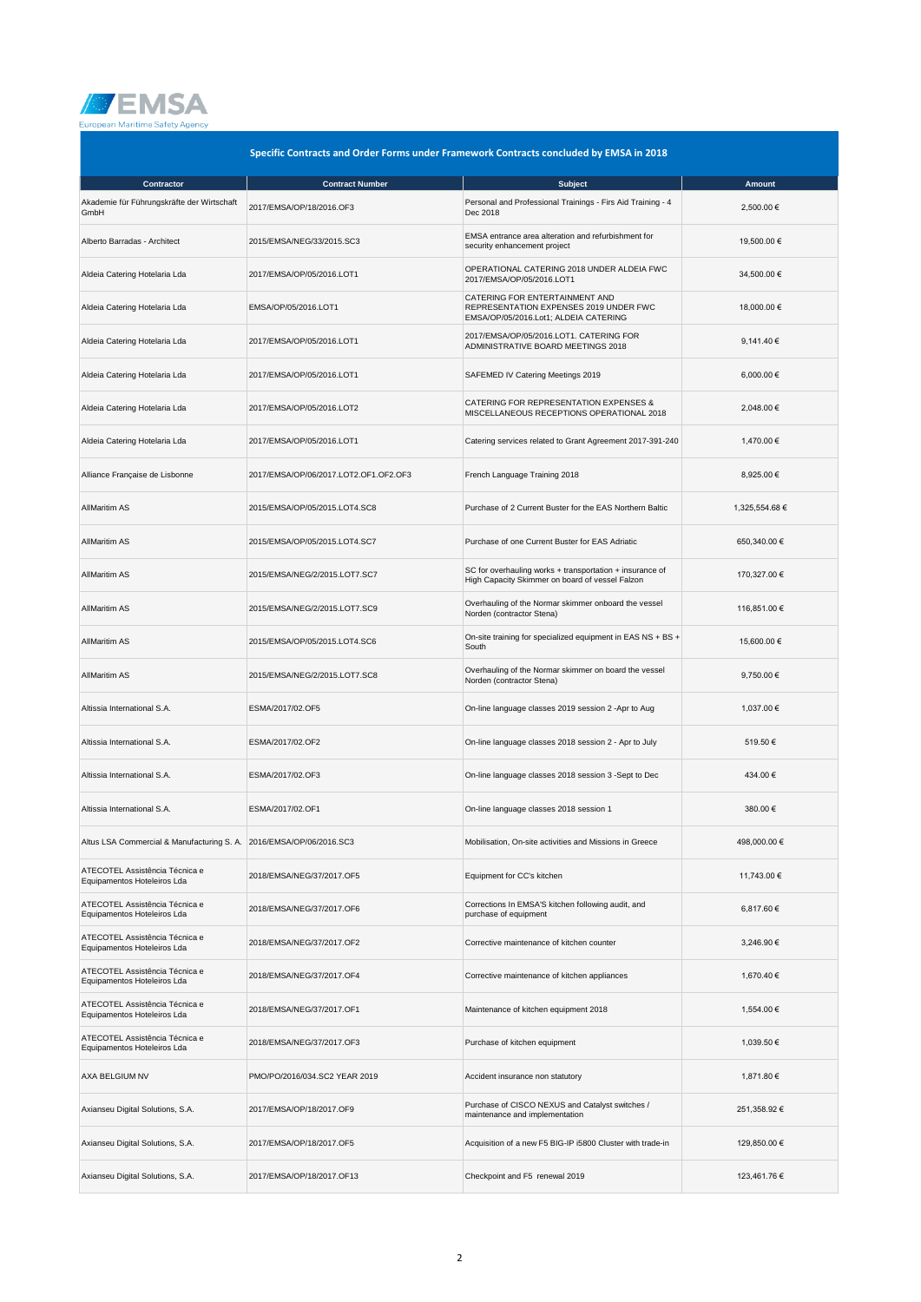

| Specific Contracts and Order Forms under Framework Contracts concluded by EMSA in 2018 |                                       |                                                                                                                   |                |
|----------------------------------------------------------------------------------------|---------------------------------------|-------------------------------------------------------------------------------------------------------------------|----------------|
| Contractor                                                                             | <b>Contract Number</b>                | <b>Subject</b>                                                                                                    | <b>Amount</b>  |
| Akademie für Führungskräfte der Wirtschaft<br>GmbH                                     | 2017/EMSA/OP/18/2016.OF3              | Personal and Professional Trainings - Firs Aid Training - 4<br>Dec 2018                                           | 2,500.00 €     |
| Alberto Barradas - Architect                                                           | 2015/EMSA/NEG/33/2015.SC3             | EMSA entrance area alteration and refurbishment for<br>security enhancement project                               | 19,500.00 €    |
| Aldeia Catering Hotelaria Lda                                                          | 2017/EMSA/OP/05/2016.LOT1             | OPERATIONAL CATERING 2018 UNDER ALDEIA FWC<br>2017/EMSA/OP/05/2016.LOT1                                           | 34,500.00 €    |
| Aldeia Catering Hotelaria Lda                                                          | EMSA/OP/05/2016.LOT1                  | CATERING FOR ENTERTAINMENT AND<br>REPRESENTATION EXPENSES 2019 UNDER FWC<br>EMSA/OP/05/2016.Lot1; ALDEIA CATERING | 18,000.00 €    |
| Aldeia Catering Hotelaria Lda                                                          | 2017/EMSA/OP/05/2016.LOT1             | 2017/EMSA/OP/05/2016.LOT1. CATERING FOR<br>ADMINISTRATIVE BOARD MEETINGS 2018                                     | 9,141.40 €     |
| Aldeia Catering Hotelaria Lda                                                          | 2017/EMSA/OP/05/2016.LOT1             | SAFEMED IV Catering Meetings 2019                                                                                 | 6,000.00 €     |
| Aldeia Catering Hotelaria Lda                                                          | 2017/EMSA/OP/05/2016.LOT2             | CATERING FOR REPRESENTATION EXPENSES &<br>MISCELLANEOUS RECEPTIONS OPERATIONAL 2018                               | 2,048.00 €     |
| Aldeia Catering Hotelaria Lda                                                          | 2017/EMSA/OP/05/2016.LOT1             | Catering services related to Grant Agreement 2017-391-240                                                         | 1,470.00 €     |
| Alliance Française de Lisbonne                                                         | 2017/EMSA/OP/06/2017.LOT2.OF1.OF2.OF3 | French Language Training 2018                                                                                     | 8,925.00 €     |
| <b>AllMaritim AS</b>                                                                   | 2015/EMSA/OP/05/2015.LOT4.SC8         | Purchase of 2 Current Buster for the EAS Northern Baltic                                                          | 1,325,554.68 € |
| <b>AllMaritim AS</b>                                                                   | 2015/EMSA/OP/05/2015.LOT4.SC7         | Purchase of one Current Buster for EAS Adriatic                                                                   | 650,340.00 €   |
| <b>AllMaritim AS</b>                                                                   | 2015/EMSA/NEG/2/2015.LOT7.SC7         | SC for overhauling works + transportation + insurance of<br>High Capacity Skimmer on board of vessel Falzon       | 170,327.00 €   |
| <b>AllMaritim AS</b>                                                                   | 2015/EMSA/NEG/2/2015.LOT7.SC9         | Overhauling of the Normar skimmer onboard the vessel<br>Norden (contractor Stena)                                 | 116,851.00 €   |
| <b>AllMaritim AS</b>                                                                   | 2015/EMSA/OP/05/2015.LOT4.SC6         | On-site training for specialized equipment in EAS NS + BS +<br>South                                              | 15,600.00 €    |
| <b>AllMaritim AS</b>                                                                   | 2015/EMSA/NEG/2/2015.LOT7.SC8         | Overhauling of the Normar skimmer on board the vessel<br>Norden (contractor Stena)                                | 9,750.00 €     |
| Altissia International S.A.                                                            | ESMA/2017/02.OF5                      | On-line language classes 2019 session 2 -Apr to Aug                                                               | 1,037.00 €     |
| Altissia International S.A.                                                            | ESMA/2017/02.OF2                      | On-line language classes 2018 session 2 - Apr to July                                                             | 519.50€        |
| Altissia International S.A.                                                            | ESMA/2017/02.OF3                      | On-line language classes 2018 session 3 -Sept to Dec                                                              | 434.00€        |
| Altissia International S.A.                                                            | ESMA/2017/02.OF1                      | On-line language classes 2018 session 1                                                                           | 380.00€        |
| Altus LSA Commercial & Manufacturing S. A. 2016/EMSA/OP/06/2016.SC3                    |                                       | Mobilisation, On-site activities and Missions in Greece                                                           | 498,000.00 €   |
| ATECOTEL Assistência Técnica e<br>Equipamentos Hoteleiros Lda                          | 2018/EMSA/NEG/37/2017.OF5             | Equipment for CC's kitchen                                                                                        | 11,743.00 €    |
| ATECOTEL Assistência Técnica e<br>Equipamentos Hoteleiros Lda                          | 2018/EMSA/NEG/37/2017.OF6             | Corrections In EMSA'S kitchen following audit, and<br>purchase of equipment                                       | 6,817.60 €     |
| ATECOTEL Assistência Técnica e<br>Equipamentos Hoteleiros Lda                          | 2018/EMSA/NEG/37/2017.OF2             | Corrective maintenance of kitchen counter                                                                         | 3,246.90 €     |
| ATECOTEL Assistência Técnica e<br>Equipamentos Hoteleiros Lda                          | 2018/EMSA/NEG/37/2017.OF4             | Corrective maintenance of kitchen appliances                                                                      | 1,670.40 €     |
| ATECOTEL Assistência Técnica e<br>Equipamentos Hoteleiros Lda                          | 2018/EMSA/NEG/37/2017.OF1             | Maintenance of kitchen equipment 2018                                                                             | 1,554.00 €     |
| ATECOTEL Assistência Técnica e<br>Equipamentos Hoteleiros Lda                          | 2018/EMSA/NEG/37/2017.OF3             | Purchase of kitchen equipment                                                                                     | 1,039.50 €     |
| AXA BELGIUM NV                                                                         | PMO/PO/2016/034.SC2 YEAR 2019         | Accident insurance non statutory                                                                                  | 1,871.80 €     |
| Axianseu Digital Solutions, S.A.                                                       | 2017/EMSA/OP/18/2017.OF9              | Purchase of CISCO NEXUS and Catalyst switches /<br>maintenance and implementation                                 | 251,358.92 €   |
| Axianseu Digital Solutions, S.A.                                                       | 2017/EMSA/OP/18/2017.OF5              | Acquisition of a new F5 BIG-IP i5800 Cluster with trade-in                                                        | 129,850.00 €   |
| Axianseu Digital Solutions, S.A.                                                       | 2017/EMSA/OP/18/2017.OF13             | Checkpoint and F5 renewal 2019                                                                                    | 123,461.76 €   |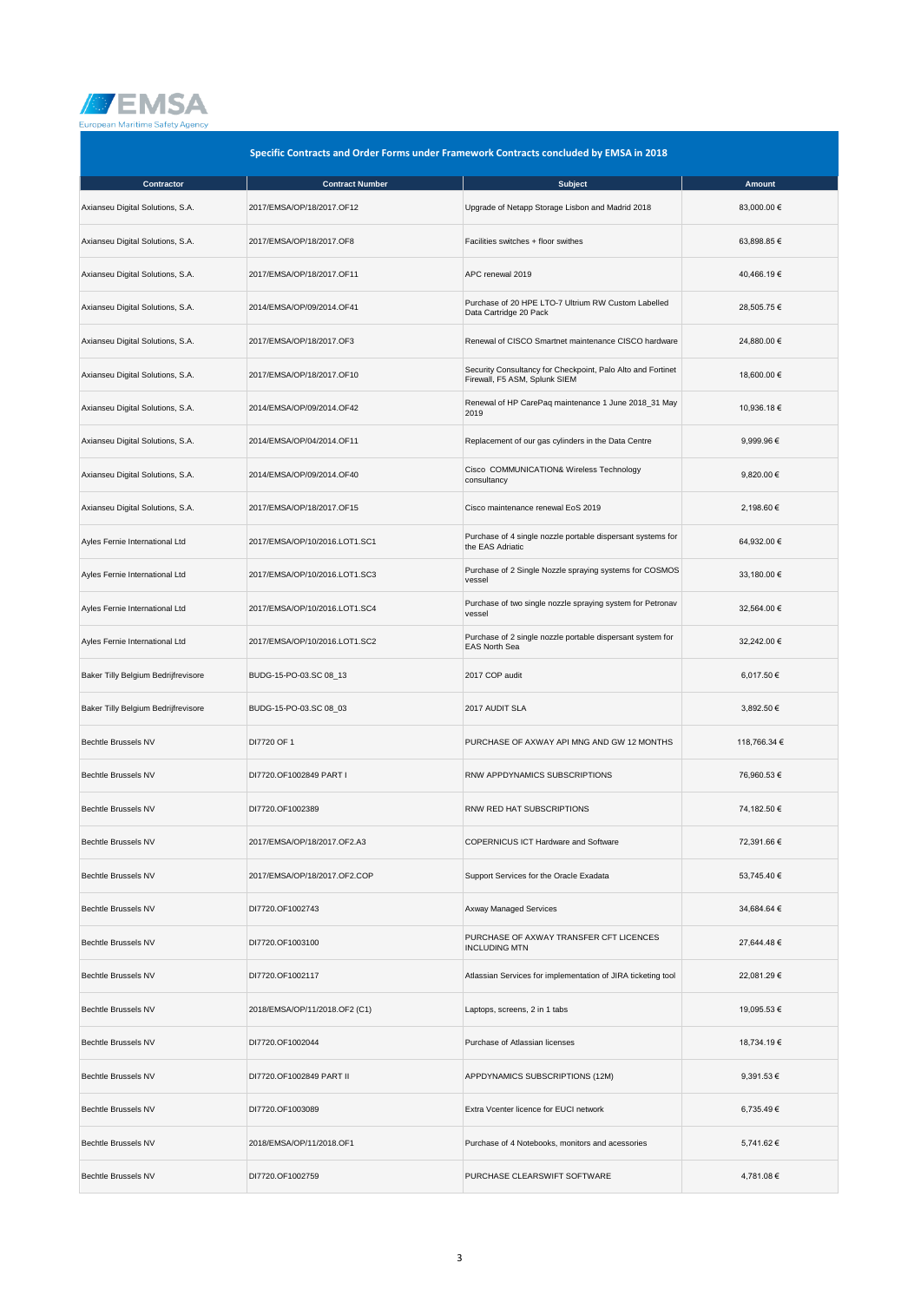

| Specific Contracts and Order Forms under Framework Contracts concluded by EMSA in 2018 |                               |                                                                                              |              |
|----------------------------------------------------------------------------------------|-------------------------------|----------------------------------------------------------------------------------------------|--------------|
| Contractor                                                                             | <b>Contract Number</b>        | <b>Subject</b>                                                                               | Amount       |
| Axianseu Digital Solutions, S.A.                                                       | 2017/EMSA/OP/18/2017.OF12     | Upgrade of Netapp Storage Lisbon and Madrid 2018                                             | 83,000.00 €  |
| Axianseu Digital Solutions, S.A.                                                       | 2017/EMSA/OP/18/2017.OF8      | Facilities switches + floor swithes                                                          | 63,898.85 €  |
| Axianseu Digital Solutions, S.A.                                                       | 2017/EMSA/OP/18/2017.OF11     | APC renewal 2019                                                                             | 40,466.19 €  |
| Axianseu Digital Solutions, S.A.                                                       | 2014/EMSA/OP/09/2014.OF41     | Purchase of 20 HPE LTO-7 Ultrium RW Custom Labelled<br>Data Cartridge 20 Pack                | 28,505.75 €  |
| Axianseu Digital Solutions, S.A.                                                       | 2017/EMSA/OP/18/2017.OF3      | Renewal of CISCO Smartnet maintenance CISCO hardware                                         | 24,880.00 €  |
| Axianseu Digital Solutions, S.A.                                                       | 2017/EMSA/OP/18/2017.OF10     | Security Consultancy for Checkpoint, Palo Alto and Fortinet<br>Firewall, F5 ASM, Splunk SIEM | 18,600.00 €  |
| Axianseu Digital Solutions, S.A.                                                       | 2014/EMSA/OP/09/2014.OF42     | Renewal of HP CarePaq maintenance 1 June 2018_31 May<br>2019                                 | 10,936.18 €  |
| Axianseu Digital Solutions, S.A.                                                       | 2014/EMSA/OP/04/2014.OF11     | Replacement of our gas cylinders in the Data Centre                                          | 9,999.96 €   |
| Axianseu Digital Solutions, S.A.                                                       | 2014/EMSA/OP/09/2014.OF40     | Cisco COMMUNICATION& Wireless Technology<br>consultancy                                      | 9,820.00 €   |
| Axianseu Digital Solutions, S.A.                                                       | 2017/EMSA/OP/18/2017.OF15     | Cisco maintenance renewal EoS 2019                                                           | 2,198.60 €   |
| Ayles Fernie International Ltd                                                         | 2017/EMSA/OP/10/2016.LOT1.SC1 | Purchase of 4 single nozzle portable dispersant systems for<br>the EAS Adriatic              | 64,932.00 €  |
| Ayles Fernie International Ltd                                                         | 2017/EMSA/OP/10/2016.LOT1.SC3 | Purchase of 2 Single Nozzle spraying systems for COSMOS<br>vessel                            | 33,180.00 €  |
| Ayles Fernie International Ltd                                                         | 2017/EMSA/OP/10/2016.LOT1.SC4 | Purchase of two single nozzle spraying system for Petronav<br>vessel                         | 32,564.00 €  |
| Ayles Fernie International Ltd                                                         | 2017/EMSA/OP/10/2016.LOT1.SC2 | Purchase of 2 single nozzle portable dispersant system for<br><b>EAS North Sea</b>           | 32,242.00 €  |
| Baker Tilly Belgium Bedrijfrevisore                                                    | BUDG-15-PO-03.SC 08_13        | 2017 COP audit                                                                               | 6,017.50 €   |
| Baker Tilly Belgium Bedrijfrevisore                                                    | BUDG-15-PO-03.SC 08_03        | 2017 AUDIT SLA                                                                               | 3,892.50 €   |
| Bechtle Brussels NV                                                                    | DI7720 OF 1                   | PURCHASE OF AXWAY API MNG AND GW 12 MONTHS                                                   | 118,766.34 € |
| <b>Bechtle Brussels NV</b>                                                             | DI7720.OF1002849 PART I       | RNW APPDYNAMICS SUBSCRIPTIONS                                                                | 76,960.53 €  |
| <b>Bechtle Brussels NV</b>                                                             | DI7720.OF1002389              | <b>RNW RED HAT SUBSCRIPTIONS</b>                                                             | 74,182.50 €  |
| Bechtle Brussels NV                                                                    | 2017/EMSA/OP/18/2017.OF2.A3   | <b>COPERNICUS ICT Hardware and Software</b>                                                  | 72,391.66 €  |
| <b>Bechtle Brussels NV</b>                                                             | 2017/EMSA/OP/18/2017.OF2.COP  | Support Services for the Oracle Exadata                                                      | 53.745.40 €  |
| Bechtle Brussels NV                                                                    | DI7720.OF1002743              | <b>Axway Managed Services</b>                                                                | 34,684.64 €  |
| <b>Bechtle Brussels NV</b>                                                             | DI7720.OF1003100              | PURCHASE OF AXWAY TRANSFER CFT LICENCES<br><b>INCLUDING MTN</b>                              | 27,644.48 €  |
| <b>Bechtle Brussels NV</b>                                                             | DI7720.OF1002117              | Atlassian Services for implementation of JIRA ticketing tool                                 | 22,081.29 €  |
| Bechtle Brussels NV                                                                    | 2018/EMSA/OP/11/2018.OF2 (C1) | Laptops, screens, 2 in 1 tabs                                                                | 19,095.53 €  |
| <b>Bechtle Brussels NV</b>                                                             | DI7720.OF1002044              | Purchase of Atlassian licenses                                                               | 18,734.19 €  |
| Bechtle Brussels NV                                                                    | DI7720.OF1002849 PART II      | APPDYNAMICS SUBSCRIPTIONS (12M)                                                              | 9,391.53 €   |
| <b>Bechtle Brussels NV</b>                                                             | DI7720.OF1003089              | Extra Vcenter licence for EUCI network                                                       | 6,735.49€    |
| <b>Bechtle Brussels NV</b>                                                             | 2018/EMSA/OP/11/2018.OF1      | Purchase of 4 Notebooks, monitors and acessories                                             | 5,741.62 €   |
| Bechtle Brussels NV                                                                    | DI7720.OF1002759              | PURCHASE CLEARSWIFT SOFTWARE                                                                 | 4,781.08 €   |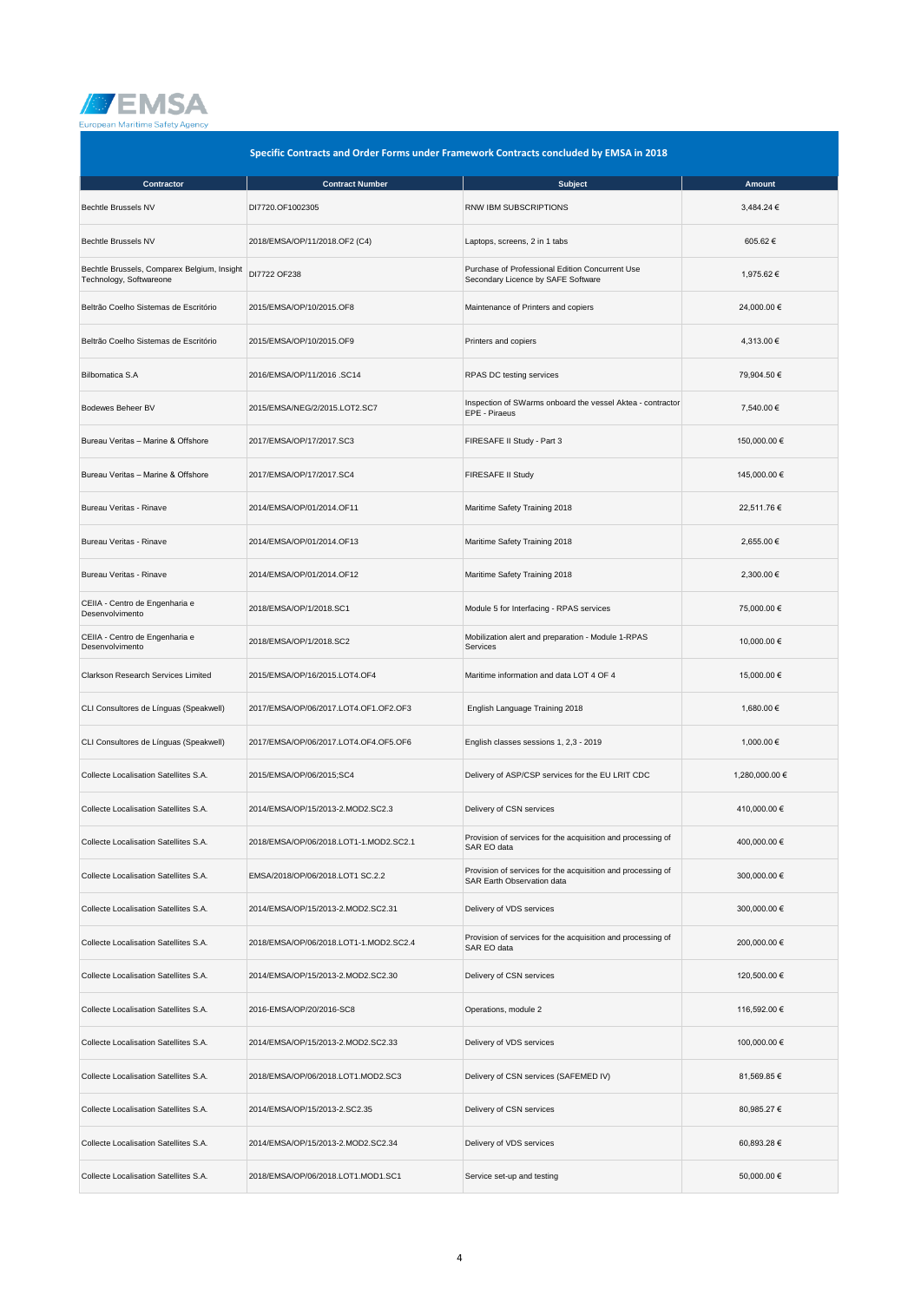

|                                                                        | Specific Contracts and Order Forms under Framework Contracts concluded by EMSA in 2018 |                                                                                           |                |
|------------------------------------------------------------------------|----------------------------------------------------------------------------------------|-------------------------------------------------------------------------------------------|----------------|
| <b>Contractor</b>                                                      | <b>Contract Number</b>                                                                 | <b>Subject</b>                                                                            | <b>Amount</b>  |
| <b>Bechtle Brussels NV</b>                                             | DI7720.OF1002305                                                                       | RNW IBM SUBSCRIPTIONS                                                                     | 3,484.24 €     |
| <b>Bechtle Brussels NV</b>                                             | 2018/EMSA/OP/11/2018.OF2 (C4)                                                          | Laptops, screens, 2 in 1 tabs                                                             | 605.62€        |
| Bechtle Brussels, Comparex Belgium, Insight<br>Technology, Softwareone | DI7722 OF238                                                                           | Purchase of Professional Edition Concurrent Use<br>Secondary Licence by SAFE Software     | 1,975.62 €     |
| Beltrão Coelho Sistemas de Escritório                                  | 2015/EMSA/OP/10/2015.OF8                                                               | Maintenance of Printers and copiers                                                       | 24,000.00 €    |
| Beltrão Coelho Sistemas de Escritório                                  | 2015/EMSA/OP/10/2015.OF9                                                               | Printers and copiers                                                                      | 4,313.00 €     |
| <b>Bilbomatica S.A</b>                                                 | 2016/EMSA/OP/11/2016 .SC14                                                             | RPAS DC testing services                                                                  | 79,904.50 €    |
| Bodewes Beheer BV                                                      | 2015/EMSA/NEG/2/2015.LOT2.SC7                                                          | Inspection of SWarms onboard the vessel Aktea - contractor<br>EPE - Piraeus               | 7,540.00 €     |
| Bureau Veritas - Marine & Offshore                                     | 2017/EMSA/OP/17/2017.SC3                                                               | FIRESAFE II Study - Part 3                                                                | 150,000.00 €   |
| Bureau Veritas - Marine & Offshore                                     | 2017/EMSA/OP/17/2017.SC4                                                               | FIRESAFE II Study                                                                         | 145,000.00 €   |
| Bureau Veritas - Rinave                                                | 2014/EMSA/OP/01/2014.OF11                                                              | Maritime Safety Training 2018                                                             | 22,511.76 €    |
| Bureau Veritas - Rinave                                                | 2014/EMSA/OP/01/2014.OF13                                                              | Maritime Safety Training 2018                                                             | 2,655.00 €     |
| Bureau Veritas - Rinave                                                | 2014/EMSA/OP/01/2014.OF12                                                              | Maritime Safety Training 2018                                                             | 2,300.00 €     |
| CEIIA - Centro de Engenharia e<br>Desenvolvimento                      | 2018/EMSA/OP/1/2018.SC1                                                                | Module 5 for Interfacing - RPAS services                                                  | 75,000.00 €    |
| CEIIA - Centro de Engenharia e<br>Desenvolvimento                      | 2018/EMSA/OP/1/2018.SC2                                                                | Mobilization alert and preparation - Module 1-RPAS<br>Services                            | 10,000.00 €    |
| Clarkson Research Services Limited                                     | 2015/EMSA/OP/16/2015.LOT4.OF4                                                          | Maritime information and data LOT 4 OF 4                                                  | 15,000.00 €    |
| CLI Consultores de Línguas (Speakwell)                                 | 2017/EMSA/OP/06/2017.LOT4.OF1.OF2.OF3                                                  | English Language Training 2018                                                            | 1,680.00 €     |
| CLI Consultores de Línguas (Speakwell)                                 | 2017/EMSA/OP/06/2017.LOT4.OF4.OF5.OF6                                                  | English classes sessions 1, 2,3 - 2019                                                    | 1,000.00 €     |
| Collecte Localisation Satellites S.A.                                  | 2015/EMSA/OP/06/2015;SC4                                                               | Delivery of ASP/CSP services for the EU LRIT CDC                                          | 1,280,000.00 € |
| Collecte Localisation Satellites S.A.                                  | 2014/EMSA/OP/15/2013-2.MOD2.SC2.3                                                      | Delivery of CSN services                                                                  | 410,000.00 €   |
| Collecte Localisation Satellites S.A.                                  | 2018/EMSA/OP/06/2018.LOT1-1.MOD2.SC2.1                                                 | Provision of services for the acquisition and processing of<br>SAR EO data                | 400,000.00 €   |
| Collecte Localisation Satellites S.A.                                  | EMSA/2018/OP/06/2018.LOT1 SC.2.2                                                       | Provision of services for the acquisition and processing of<br>SAR Earth Observation data | 300,000.00 €   |
| Collecte Localisation Satellites S.A.                                  | 2014/EMSA/OP/15/2013-2.MOD2.SC2.31                                                     | Delivery of VDS services                                                                  | 300,000.00 €   |
| Collecte Localisation Satellites S.A.                                  | 2018/EMSA/OP/06/2018.LOT1-1.MOD2.SC2.4                                                 | Provision of services for the acquisition and processing of<br>SAR EO data                | 200,000.00 €   |
| Collecte Localisation Satellites S.A.                                  | 2014/EMSA/OP/15/2013-2.MOD2.SC2.30                                                     | Delivery of CSN services                                                                  | 120,500.00 €   |
| Collecte Localisation Satellites S.A.                                  | 2016-EMSA/OP/20/2016-SC8                                                               | Operations, module 2                                                                      | 116,592.00 €   |
| Collecte Localisation Satellites S.A.                                  | 2014/EMSA/OP/15/2013-2.MOD2.SC2.33                                                     | Delivery of VDS services                                                                  | 100,000.00 €   |
| Collecte Localisation Satellites S.A.                                  | 2018/EMSA/OP/06/2018.LOT1.MOD2.SC3                                                     | Delivery of CSN services (SAFEMED IV)                                                     | 81,569.85 €    |
| Collecte Localisation Satellites S.A.                                  | 2014/EMSA/OP/15/2013-2.SC2.35                                                          | Delivery of CSN services                                                                  | 80,985.27 €    |
| Collecte Localisation Satellites S.A.                                  | 2014/EMSA/OP/15/2013-2.MOD2.SC2.34                                                     | Delivery of VDS services                                                                  | 60,893.28 €    |
| Collecte Localisation Satellites S.A.                                  | 2018/EMSA/OP/06/2018.LOT1.MOD1.SC1                                                     | Service set-up and testing                                                                | 50,000.00 €    |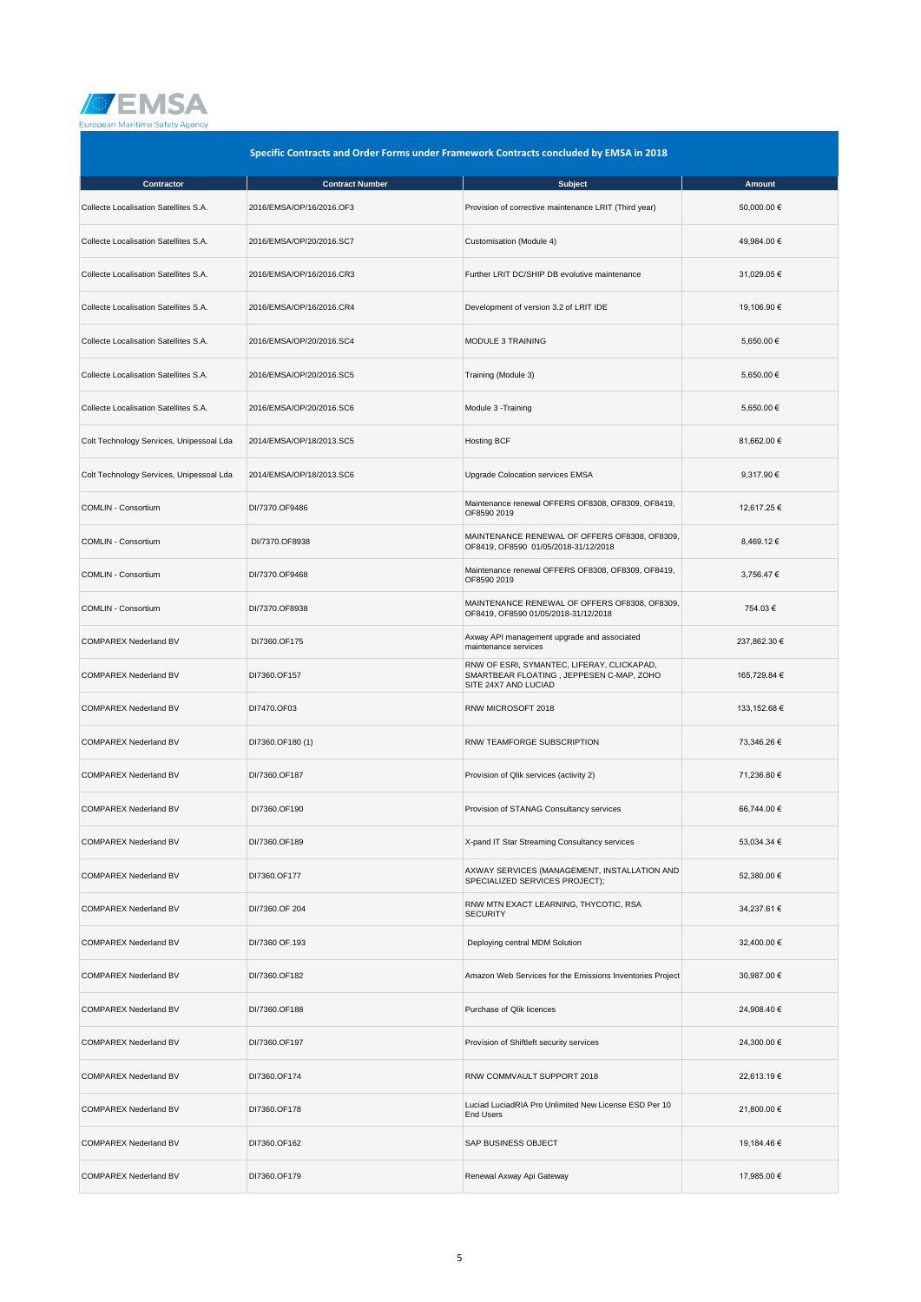

| Specific Contracts and Order Forms under Framework Contracts concluded by EMSA in 2018 |                          |                                                                                                                |              |  |
|----------------------------------------------------------------------------------------|--------------------------|----------------------------------------------------------------------------------------------------------------|--------------|--|
| <b>Contractor</b>                                                                      | <b>Contract Number</b>   | <b>Subject</b>                                                                                                 | Amount       |  |
| Collecte Localisation Satellites S.A.                                                  | 2016/EMSA/OP/16/2016.OF3 | Provision of corrective maintenance LRIT (Third year)                                                          | 50,000.00 €  |  |
| Collecte Localisation Satellites S.A.                                                  | 2016/EMSA/OP/20/2016.SC7 | Customisation (Module 4)                                                                                       | 49,984.00 €  |  |
| Collecte Localisation Satellites S.A.                                                  | 2016/EMSA/OP/16/2016.CR3 | Further LRIT DC/SHIP DB evolutive maintenance                                                                  | 31,029.05 €  |  |
| Collecte Localisation Satellites S.A.                                                  | 2016/EMSA/OP/16/2016.CR4 | Development of version 3.2 of LRIT IDE                                                                         | 19,106.90 €  |  |
| Collecte Localisation Satellites S.A.                                                  | 2016/EMSA/OP/20/2016.SC4 | MODULE 3 TRAINING                                                                                              | 5.650.00 €   |  |
| Collecte Localisation Satellites S.A.                                                  | 2016/EMSA/OP/20/2016.SC5 | Training (Module 3)                                                                                            | 5,650.00 €   |  |
| Collecte Localisation Satellites S.A.                                                  | 2016/EMSA/OP/20/2016.SC6 | Module 3 - Training                                                                                            | 5,650.00 €   |  |
| Colt Technology Services, Unipessoal Lda                                               | 2014/EMSA/OP/18/2013.SC5 | <b>Hosting BCF</b>                                                                                             | 81,662.00 €  |  |
| Colt Technology Services, Unipessoal Lda                                               | 2014/EMSA/OP/18/2013.SC6 | Upgrade Colocation services EMSA                                                                               | 9,317.90 €   |  |
| COMLIN - Consortium                                                                    | DI/7370.OF9486           | Maintenance renewal OFFERS OF8308, OF8309, OF8419,<br>OF8590 2019                                              | 12,617.25 €  |  |
| COMLIN - Consortium                                                                    | DI/7370.OF8938           | MAINTENANCE RENEWAL OF OFFERS OF8308, OF8309,<br>OF8419, OF8590 01/05/2018-31/12/2018                          | 8,469.12 €   |  |
| COMLIN - Consortium                                                                    | DI/7370.OF9468           | Maintenance renewal OFFERS OF8308, OF8309, OF8419,<br>OF8590 2019                                              | 3,756.47 €   |  |
| COMLIN - Consortium                                                                    | DI/7370.OF8938           | MAINTENANCE RENEWAL OF OFFERS OF8308, OF8309,<br>OF8419, OF8590 01/05/2018-31/12/2018                          | 754.03€      |  |
| <b>COMPAREX Nederland BV</b>                                                           | DI7360.OF175             | Axway API management upgrade and associated<br>maintenance services                                            | 237,862.30 € |  |
| <b>COMPAREX Nederland BV</b>                                                           | DI7360.OF157             | RNW OF ESRI, SYMANTEC, LIFERAY, CLICKAPAD,<br>SMARTBEAR FLOATING, JEPPESEN C-MAP, ZOHO<br>SITE 24X7 AND LUCIAD | 165,729.84 € |  |
| <b>COMPAREX Nederland BV</b>                                                           | DI7470.OF03              | RNW MICROSOFT 2018                                                                                             | 133,152.68 € |  |
| <b>COMPAREX Nederland BV</b>                                                           | DI7360.OF180 (1)         | RNW TEAMFORGE SUBSCRIPTION                                                                                     | 73,346.26 €  |  |
| <b>COMPAREX Nederland BV</b>                                                           | DI/7360.OF187            | Provision of Qlik services (activity 2)                                                                        | 71,236.80 €  |  |
| <b>COMPAREX Nederland BV</b>                                                           | DI7360.OF190             | Provision of STANAG Consultancy services                                                                       | 66,744.00 €  |  |
| <b>COMPAREX Nederland BV</b>                                                           | DI/7360.OF189            | X-pand IT Star Streaming Consultancy services                                                                  | 53,034.34 €  |  |
| <b>COMPAREX Nederland BV</b>                                                           | DI7360.OF177             | AXWAY SERVICES (MANAGEMENT, INSTALLATION AND<br>SPECIALIZED SERVICES PROJECT);                                 | 52,380.00 €  |  |
| <b>COMPAREX Nederland BV</b>                                                           | DI/7360.OF 204           | RNW MTN EXACT LEARNING, THYCOTIC, RSA<br><b>SECURITY</b>                                                       | 34.237.61 €  |  |
| <b>COMPAREX Nederland BV</b>                                                           | DI/7360 OF.193           | Deploying central MDM Solution                                                                                 | 32,400.00 €  |  |
| <b>COMPAREX Nederland BV</b>                                                           | DI/7360.OF182            | Amazon Web Services for the Emissions Inventories Project                                                      | 30,987.00 €  |  |
| <b>COMPAREX Nederland BV</b>                                                           | DI/7360.OF188            | Purchase of Qlik licences                                                                                      | 24,908.40 €  |  |
| <b>COMPAREX Nederland BV</b>                                                           | DI/7360.OF197            | Provision of Shiftleft security services                                                                       | 24,300.00 €  |  |
| <b>COMPAREX Nederland BV</b>                                                           | DI7360.OF174             | RNW COMMVAULT SUPPORT 2018                                                                                     | 22,613.19 €  |  |
| <b>COMPAREX Nederland BV</b>                                                           | DI7360.OF178             | Luciad LuciadRIA Pro Unlimited New License ESD Per 10<br><b>End Users</b>                                      | 21,800.00 €  |  |
| <b>COMPAREX Nederland BV</b>                                                           | DI7360.OF162             | SAP BUSINESS OBJECT                                                                                            | 19,184.46 €  |  |
| <b>COMPAREX Nederland BV</b>                                                           | DI7360.OF179             | Renewal Axway Api Gateway                                                                                      | 17,985.00 €  |  |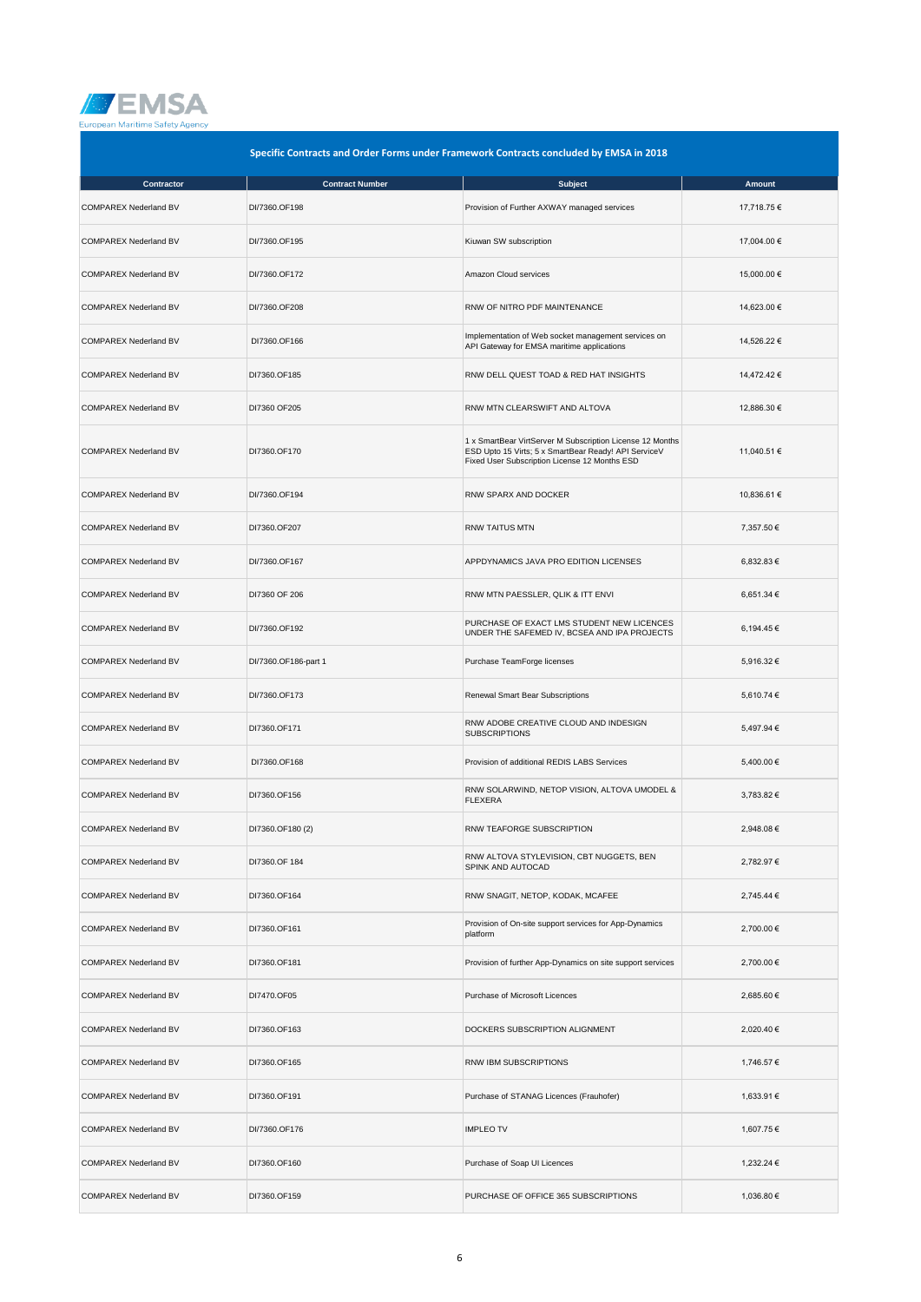

|                              | Specific Contracts and Order Forms under Framework Contracts concluded by EMSA in 2018 |                                                                                                                                                                    |               |  |
|------------------------------|----------------------------------------------------------------------------------------|--------------------------------------------------------------------------------------------------------------------------------------------------------------------|---------------|--|
| Contractor                   | <b>Contract Number</b>                                                                 | <b>Subject</b>                                                                                                                                                     | <b>Amount</b> |  |
| COMPAREX Nederland BV        | DI/7360.OF198                                                                          | Provision of Further AXWAY managed services                                                                                                                        | 17,718.75 €   |  |
| <b>COMPAREX Nederland BV</b> | DI/7360.OF195                                                                          | Kiuwan SW subscription                                                                                                                                             | 17,004.00 €   |  |
| <b>COMPAREX Nederland BV</b> | DI/7360.OF172                                                                          | Amazon Cloud services                                                                                                                                              | 15,000.00 €   |  |
| COMPAREX Nederland BV        | DI/7360.OF208                                                                          | RNW OF NITRO PDF MAINTENANCE                                                                                                                                       | 14,623.00 €   |  |
| COMPAREX Nederland BV        | DI7360.OF166                                                                           | Implementation of Web socket management services on<br>API Gateway for EMSA maritime applications                                                                  | 14,526.22 €   |  |
| COMPAREX Nederland BV        | DI7360.OF185                                                                           | RNW DELL QUEST TOAD & RED HAT INSIGHTS                                                                                                                             | 14,472.42 €   |  |
| <b>COMPAREX Nederland BV</b> | DI7360 OF205                                                                           | RNW MTN CLEARSWIFT AND ALTOVA                                                                                                                                      | 12,886.30 €   |  |
| COMPAREX Nederland BV        | DI7360.OF170                                                                           | 1 x SmartBear VirtServer M Subscription License 12 Months<br>ESD Upto 15 Virts; 5 x SmartBear Ready! API ServiceV<br>Fixed User Subscription License 12 Months ESD | 11,040.51 €   |  |
| <b>COMPAREX Nederland BV</b> | DI/7360.OF194                                                                          | RNW SPARX AND DOCKER                                                                                                                                               | 10,836.61 €   |  |
| <b>COMPAREX Nederland BV</b> | DI7360.OF207                                                                           | <b>RNW TAITUS MTN</b>                                                                                                                                              | 7,357.50 €    |  |
| COMPAREX Nederland BV        | DI/7360.OF167                                                                          | APPDYNAMICS JAVA PRO EDITION LICENSES                                                                                                                              | 6,832.83 €    |  |
| COMPAREX Nederland BV        | DI7360 OF 206                                                                          | RNW MTN PAESSLER, QLIK & ITT ENVI                                                                                                                                  | 6,651.34 €    |  |
| <b>COMPAREX Nederland BV</b> | DI/7360.OF192                                                                          | PURCHASE OF EXACT LMS STUDENT NEW LICENCES<br>UNDER THE SAFEMED IV, BCSEA AND IPA PROJECTS                                                                         | 6,194.45 €    |  |
| <b>COMPAREX Nederland BV</b> | DI/7360.OF186-part 1                                                                   | Purchase TeamForge licenses                                                                                                                                        | 5,916.32 €    |  |
| COMPAREX Nederland BV        | DI/7360.OF173                                                                          | Renewal Smart Bear Subscriptions                                                                                                                                   | 5,610.74 €    |  |
| COMPAREX Nederland BV        | DI7360.OF171                                                                           | RNW ADOBE CREATIVE CLOUD AND INDESIGN<br><b>SUBSCRIPTIONS</b>                                                                                                      | 5,497.94 €    |  |
| <b>COMPAREX Nederland BV</b> | DI7360.OF168                                                                           | Provision of additional REDIS LABS Services                                                                                                                        | 5,400.00 €    |  |
| COMPAREX Nederland BV        | DI7360.OF156                                                                           | RNW SOLARWIND, NETOP VISION, ALTOVA UMODEL &<br><b>FLEXERA</b>                                                                                                     | 3,783.82 €    |  |
| COMPAREX Nederland BV        | DI7360.OF180 (2)                                                                       | RNW TEAFORGE SUBSCRIPTION                                                                                                                                          | 2,948.08 €    |  |
| <b>COMPAREX Nederland BV</b> | DI7360.OF 184                                                                          | RNW ALTOVA STYLEVISION, CBT NUGGETS, BEN<br>SPINK AND AUTOCAD                                                                                                      | 2,782.97 €    |  |
| <b>COMPAREX Nederland BV</b> | DI7360.OF164                                                                           | RNW SNAGIT, NETOP, KODAK, MCAFEE                                                                                                                                   | 2.745.44 €    |  |
| <b>COMPAREX Nederland BV</b> | DI7360.OF161                                                                           | Provision of On-site support services for App-Dynamics<br>platform                                                                                                 | 2,700.00 €    |  |
| <b>COMPAREX Nederland BV</b> | DI7360.OF181                                                                           | Provision of further App-Dynamics on site support services                                                                                                         | 2,700.00 €    |  |
| <b>COMPAREX Nederland BV</b> | DI7470.OF05                                                                            | Purchase of Microsoft Licences                                                                                                                                     | 2,685.60 €    |  |
| <b>COMPAREX Nederland BV</b> | DI7360.OF163                                                                           | DOCKERS SUBSCRIPTION ALIGNMENT                                                                                                                                     | 2,020.40 €    |  |
| <b>COMPAREX Nederland BV</b> | DI7360.OF165                                                                           | RNW IBM SUBSCRIPTIONS                                                                                                                                              | 1,746.57 €    |  |
| <b>COMPAREX Nederland BV</b> | DI7360.OF191                                                                           | Purchase of STANAG Licences (Frauhofer)                                                                                                                            | 1,633.91 €    |  |
| <b>COMPAREX Nederland BV</b> | DI/7360.OF176                                                                          | <b>IMPLEO TV</b>                                                                                                                                                   | 1,607.75 €    |  |
| <b>COMPAREX Nederland BV</b> | DI7360.OF160                                                                           | Purchase of Soap UI Licences                                                                                                                                       | 1,232.24 €    |  |
| COMPAREX Nederland BV        | DI7360.OF159                                                                           | PURCHASE OF OFFICE 365 SUBSCRIPTIONS                                                                                                                               | 1,036.80 €    |  |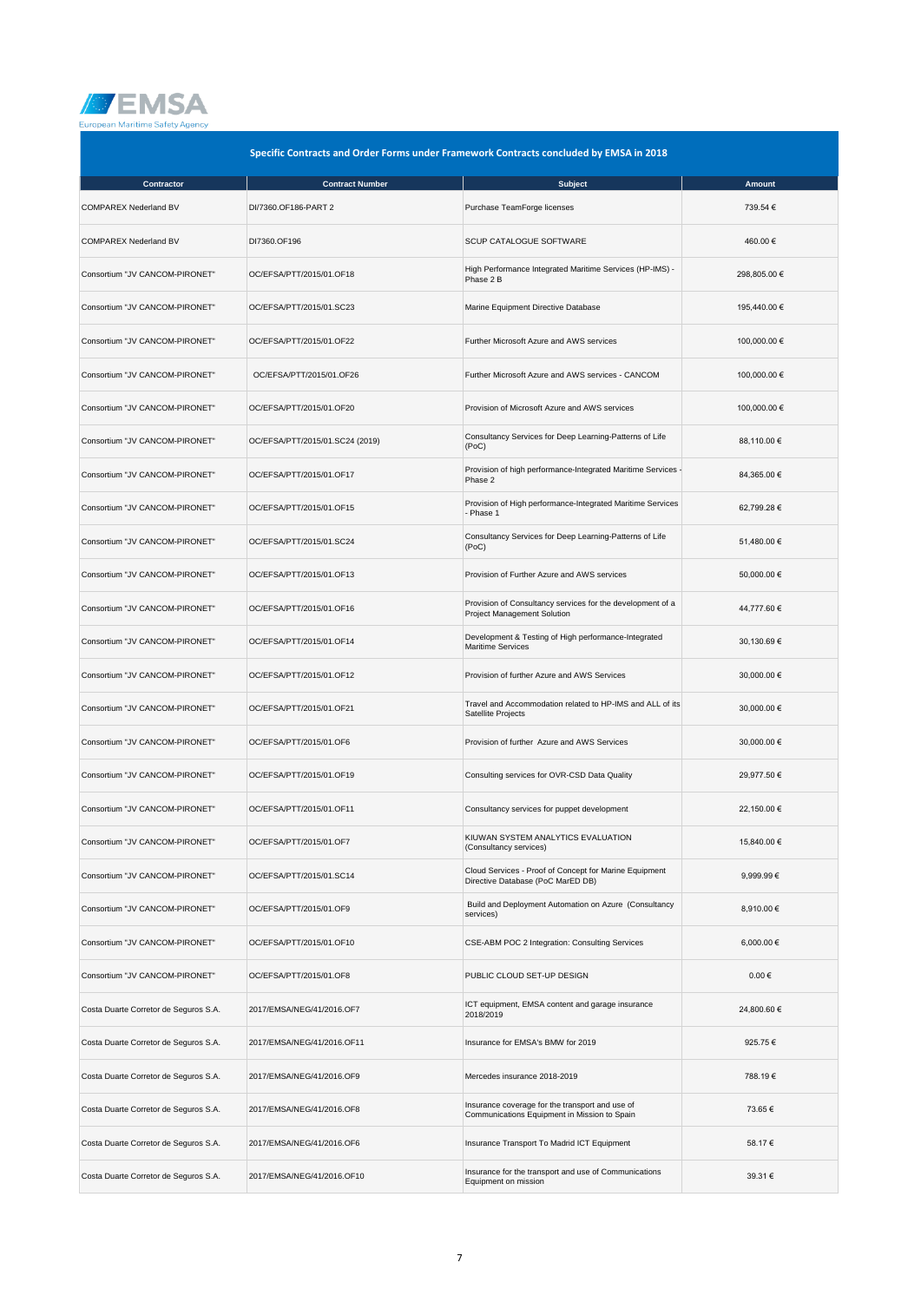

|                                       | Specific Contracts and Order Forms under Framework Contracts concluded by EMSA in 2018 |                                                                                                 |              |
|---------------------------------------|----------------------------------------------------------------------------------------|-------------------------------------------------------------------------------------------------|--------------|
| Contractor                            | <b>Contract Number</b>                                                                 | <b>Subject</b>                                                                                  | Amount       |
| <b>COMPAREX Nederland BV</b>          | DI/7360.OF186-PART 2                                                                   | Purchase TeamForge licenses                                                                     | 739.54 €     |
| <b>COMPAREX Nederland BV</b>          | DI7360.OF196                                                                           | <b>SCUP CATALOGUE SOFTWARE</b>                                                                  | 460.00€      |
| Consortium "JV CANCOM-PIRONET"        | OC/EFSA/PTT/2015/01.OF18                                                               | High Performance Integrated Maritime Services (HP-IMS) -<br>Phase 2 B                           | 298,805.00 € |
| Consortium "JV CANCOM-PIRONET"        | OC/EFSA/PTT/2015/01.SC23                                                               | Marine Equipment Directive Database                                                             | 195,440.00 € |
| Consortium "JV CANCOM-PIRONET"        | OC/EFSA/PTT/2015/01.OF22                                                               | Further Microsoft Azure and AWS services                                                        | 100,000.00 € |
| Consortium "JV CANCOM-PIRONET"        | OC/EFSA/PTT/2015/01.OF26                                                               | Further Microsoft Azure and AWS services - CANCOM                                               | 100,000.00 € |
| Consortium "JV CANCOM-PIRONET"        | OC/EFSA/PTT/2015/01.OF20                                                               | Provision of Microsoft Azure and AWS services                                                   | 100,000.00 € |
| Consortium "JV CANCOM-PIRONET"        | OC/EFSA/PTT/2015/01.SC24 (2019)                                                        | Consultancy Services for Deep Learning-Patterns of Life<br>(PoC)                                | 88,110.00 €  |
| Consortium "JV CANCOM-PIRONET"        | OC/EFSA/PTT/2015/01.OF17                                                               | Provision of high performance-Integrated Maritime Services -<br>Phase 2                         | 84,365.00 €  |
| Consortium "JV CANCOM-PIRONET"        | OC/EFSA/PTT/2015/01.OF15                                                               | Provision of High performance-Integrated Maritime Services<br>- Phase 1                         | 62,799.28 €  |
| Consortium "JV CANCOM-PIRONET"        | OC/EFSA/PTT/2015/01.SC24                                                               | Consultancy Services for Deep Learning-Patterns of Life<br>(PoC)                                | 51,480.00 €  |
| Consortium "JV CANCOM-PIRONET"        | OC/EFSA/PTT/2015/01.OF13                                                               | Provision of Further Azure and AWS services                                                     | 50,000.00 €  |
| Consortium "JV CANCOM-PIRONET"        | OC/EFSA/PTT/2015/01.OF16                                                               | Provision of Consultancy services for the development of a<br>Project Management Solution       | 44,777.60 €  |
| Consortium "JV CANCOM-PIRONET"        | OC/EFSA/PTT/2015/01.OF14                                                               | Development & Testing of High performance-Integrated<br><b>Maritime Services</b>                | 30,130.69 €  |
| Consortium "JV CANCOM-PIRONET"        | OC/EFSA/PTT/2015/01.OF12                                                               | Provision of further Azure and AWS Services                                                     | 30,000.00 €  |
| Consortium "JV CANCOM-PIRONET"        | OC/EFSA/PTT/2015/01.OF21                                                               | Travel and Accommodation related to HP-IMS and ALL of its<br>Satellite Projects                 | 30,000.00 €  |
| Consortium "JV CANCOM-PIRONET"        | OC/EFSA/PTT/2015/01.OF6                                                                | Provision of further Azure and AWS Services                                                     | 30,000.00 €  |
| Consortium "JV CANCOM-PIRONET"        | OC/EFSA/PTT/2015/01.OF19                                                               | Consulting services for OVR-CSD Data Quality                                                    | 29,977.50 €  |
| Consortium "JV CANCOM-PIRONET"        | OC/EFSA/PTT/2015/01.OF11                                                               | Consultancy services for puppet development                                                     | 22,150.00 €  |
| Consortium "JV CANCOM-PIRONET"        | OC/EFSA/PTT/2015/01.OF7                                                                | KIUWAN SYSTEM ANALYTICS EVALUATION<br>(Consultancy services)                                    | 15,840.00 €  |
| Consortium "JV CANCOM-PIRONET"        | OC/EFSA/PTT/2015/01.SC14                                                               | Cloud Services - Proof of Concept for Marine Equipment<br>Directive Database (PoC MarED DB)     | 9,999.99€    |
| Consortium "JV CANCOM-PIRONET"        | OC/EFSA/PTT/2015/01.OF9                                                                | Build and Deployment Automation on Azure (Consultancy<br>services)                              | 8,910.00 €   |
| Consortium "JV CANCOM-PIRONET"        | OC/EFSA/PTT/2015/01.OF10                                                               | CSE-ABM POC 2 Integration: Consulting Services                                                  | 6,000.00€    |
| Consortium "JV CANCOM-PIRONET"        | OC/EFSA/PTT/2015/01.OF8                                                                | PUBLIC CLOUD SET-UP DESIGN                                                                      | $0.00 \in$   |
| Costa Duarte Corretor de Seguros S.A. | 2017/EMSA/NEG/41/2016.OF7                                                              | ICT equipment, EMSA content and garage insurance<br>2018/2019                                   | 24,800.60 €  |
| Costa Duarte Corretor de Seguros S.A. | 2017/EMSA/NEG/41/2016.OF11                                                             | Insurance for EMSA's BMW for 2019                                                               | 925.75€      |
| Costa Duarte Corretor de Seguros S.A. | 2017/EMSA/NEG/41/2016.OF9                                                              | Mercedes insurance 2018-2019                                                                    | 788.19€      |
| Costa Duarte Corretor de Seguros S.A. | 2017/EMSA/NEG/41/2016.OF8                                                              | Insurance coverage for the transport and use of<br>Communications Equipment in Mission to Spain | 73.65 €      |
| Costa Duarte Corretor de Seguros S.A. | 2017/EMSA/NEG/41/2016.OF6                                                              | Insurance Transport To Madrid ICT Equipment                                                     | 58.17€       |
| Costa Duarte Corretor de Seguros S.A. | 2017/EMSA/NEG/41/2016.OF10                                                             | Insurance for the transport and use of Communications<br>Equipment on mission                   | 39.31 €      |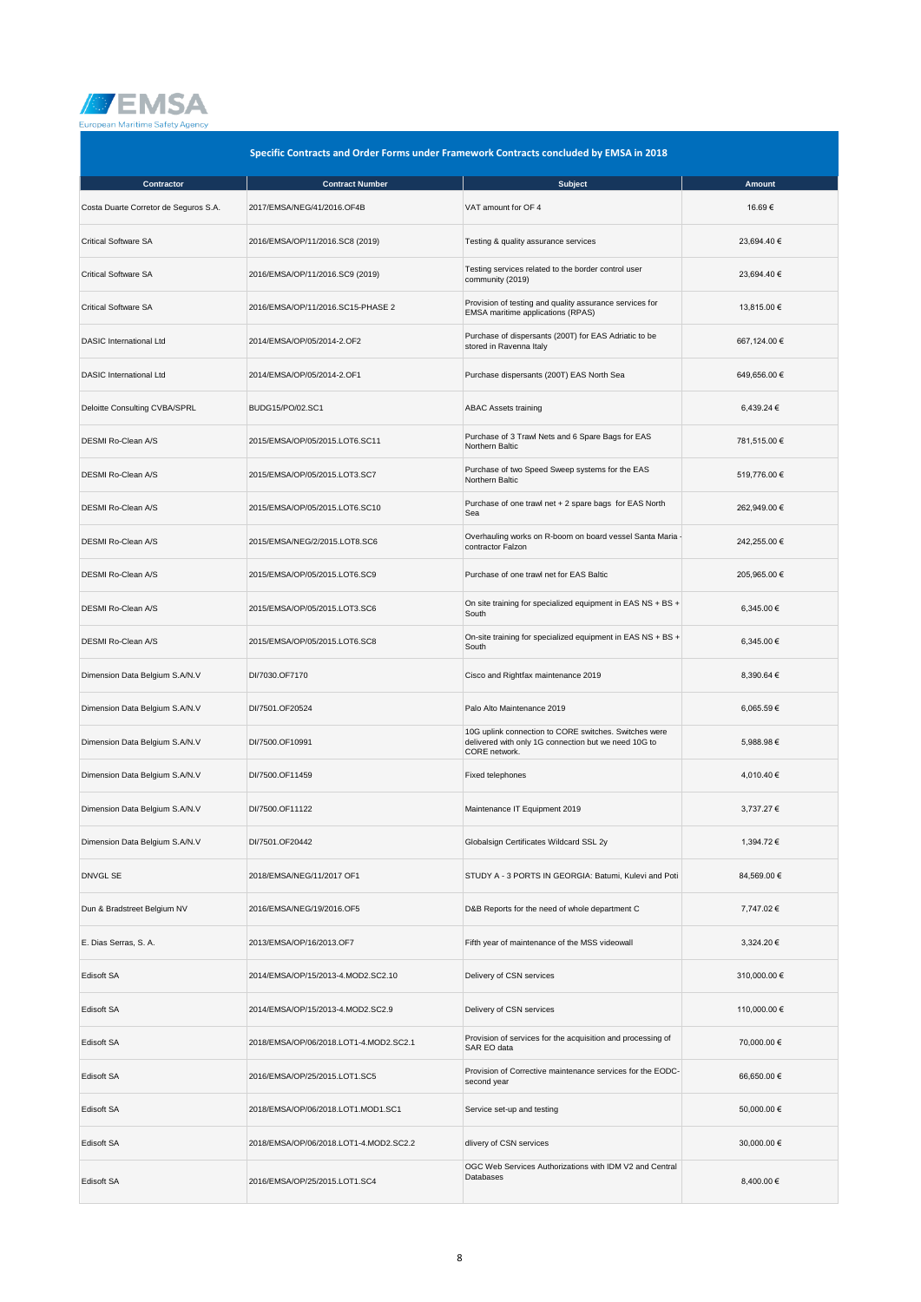

| Specific Contracts and Order Forms under Framework Contracts concluded by EMSA in 2018 |                                        |                                                                                                                                |              |
|----------------------------------------------------------------------------------------|----------------------------------------|--------------------------------------------------------------------------------------------------------------------------------|--------------|
| Contractor                                                                             | <b>Contract Number</b>                 | <b>Subject</b>                                                                                                                 | Amount       |
| Costa Duarte Corretor de Seguros S.A.                                                  | 2017/EMSA/NEG/41/2016.OF4B             | VAT amount for OF 4                                                                                                            | 16.69€       |
| <b>Critical Software SA</b>                                                            | 2016/EMSA/OP/11/2016.SC8 (2019)        | Testing & quality assurance services                                                                                           | 23,694.40 €  |
| <b>Critical Software SA</b>                                                            | 2016/EMSA/OP/11/2016.SC9 (2019)        | Testing services related to the border control user<br>community (2019)                                                        | 23,694.40 €  |
| <b>Critical Software SA</b>                                                            | 2016/EMSA/OP/11/2016.SC15-PHASE 2      | Provision of testing and quality assurance services for<br>EMSA maritime applications (RPAS)                                   | 13,815.00 €  |
| <b>DASIC International Ltd</b>                                                         | 2014/EMSA/OP/05/2014-2.OF2             | Purchase of dispersants (200T) for EAS Adriatic to be<br>stored in Ravenna Italy                                               | 667,124.00 € |
| <b>DASIC International Ltd</b>                                                         | 2014/EMSA/OP/05/2014-2.OF1             | Purchase dispersants (200T) EAS North Sea                                                                                      | 649,656.00 € |
| Deloitte Consulting CVBA/SPRL                                                          | BUDG15/PO/02.SC1                       | <b>ABAC Assets training</b>                                                                                                    | 6,439.24 €   |
| <b>DESMI Ro-Clean A/S</b>                                                              | 2015/EMSA/OP/05/2015.LOT6.SC11         | Purchase of 3 Trawl Nets and 6 Spare Bags for EAS<br>Northern Baltic                                                           | 781,515.00 € |
| DESMI Ro-Clean A/S                                                                     | 2015/EMSA/OP/05/2015.LOT3.SC7          | Purchase of two Speed Sweep systems for the EAS<br>Northern Baltic                                                             | 519,776.00 € |
| DESMI Ro-Clean A/S                                                                     | 2015/EMSA/OP/05/2015.LOT6.SC10         | Purchase of one trawl net + 2 spare bags for EAS North<br>Sea                                                                  | 262,949.00 € |
| DESMI Ro-Clean A/S                                                                     | 2015/EMSA/NEG/2/2015.LOT8.SC6          | Overhauling works on R-boom on board vessel Santa Maria -<br>contractor Falzon                                                 | 242,255.00 € |
| DESMI Ro-Clean A/S                                                                     | 2015/EMSA/OP/05/2015.LOT6.SC9          | Purchase of one trawl net for EAS Baltic                                                                                       | 205,965.00 € |
| DESMI Ro-Clean A/S                                                                     | 2015/EMSA/OP/05/2015.LOT3.SC6          | On site training for specialized equipment in EAS NS + BS +<br>South                                                           | 6,345.00 €   |
| DESMI Ro-Clean A/S                                                                     | 2015/EMSA/OP/05/2015.LOT6.SC8          | On-site training for specialized equipment in EAS NS + BS +<br>South                                                           | 6,345.00 €   |
| Dimension Data Belgium S.A/N.V                                                         | DI/7030.OF7170                         | Cisco and Rightfax maintenance 2019                                                                                            | 8,390.64 €   |
| Dimension Data Belgium S.A/N.V                                                         | DI/7501.OF20524                        | Palo Alto Maintenance 2019                                                                                                     | 6,065.59€    |
| Dimension Data Belgium S.A/N.V                                                         | DI/7500.OF10991                        | 10G uplink connection to CORE switches. Switches were<br>delivered with only 1G connection but we need 10G to<br>CORE network. | 5,988.98 €   |
| Dimension Data Belgium S.A/N.V                                                         | DI/7500.OF11459                        | Fixed telephones                                                                                                               | 4,010.40 €   |
| Dimension Data Belgium S.A/N.V                                                         | DI/7500.OF11122                        | Maintenance IT Equipment 2019                                                                                                  | 3.737.27 €   |
| Dimension Data Belgium S.A/N.V                                                         | DI/7501.OF20442                        | Globalsign Certificates Wildcard SSL 2y                                                                                        | 1,394.72 €   |
| <b>DNVGL SE</b>                                                                        | 2018/EMSA/NEG/11/2017 OF1              | STUDY A - 3 PORTS IN GEORGIA: Batumi, Kulevi and Poti                                                                          | 84,569.00 €  |
| Dun & Bradstreet Belgium NV                                                            | 2016/EMSA/NEG/19/2016.OF5              | D&B Reports for the need of whole department C                                                                                 | 7,747.02 €   |
| E. Dias Serras, S. A.                                                                  | 2013/EMSA/OP/16/2013.OF7               | Fifth year of maintenance of the MSS videowall                                                                                 | 3,324.20 €   |
| Edisoft SA                                                                             | 2014/EMSA/OP/15/2013-4.MOD2.SC2.10     | Delivery of CSN services                                                                                                       | 310,000.00 € |
| Edisoft SA                                                                             | 2014/EMSA/OP/15/2013-4.MOD2.SC2.9      | Delivery of CSN services                                                                                                       | 110,000.00 € |
| <b>Edisoft SA</b>                                                                      | 2018/EMSA/OP/06/2018.LOT1-4.MOD2.SC2.1 | Provision of services for the acquisition and processing of<br>SAR EO data                                                     | 70,000.00 €  |
| Edisoft SA                                                                             | 2016/EMSA/OP/25/2015.LOT1.SC5          | Provision of Corrective maintenance services for the EODC-<br>second year                                                      | 66,650.00 €  |
| <b>Edisoft SA</b>                                                                      | 2018/EMSA/OP/06/2018.LOT1.MOD1.SC1     | Service set-up and testing                                                                                                     | 50,000.00 €  |
| Edisoft SA                                                                             | 2018/EMSA/OP/06/2018.LOT1-4.MOD2.SC2.2 | dlivery of CSN services                                                                                                        | 30,000.00 €  |
| Edisoft SA                                                                             | 2016/EMSA/OP/25/2015.LOT1.SC4          | OGC Web Services Authorizations with IDM V2 and Central<br>Databases                                                           | 8,400.00 €   |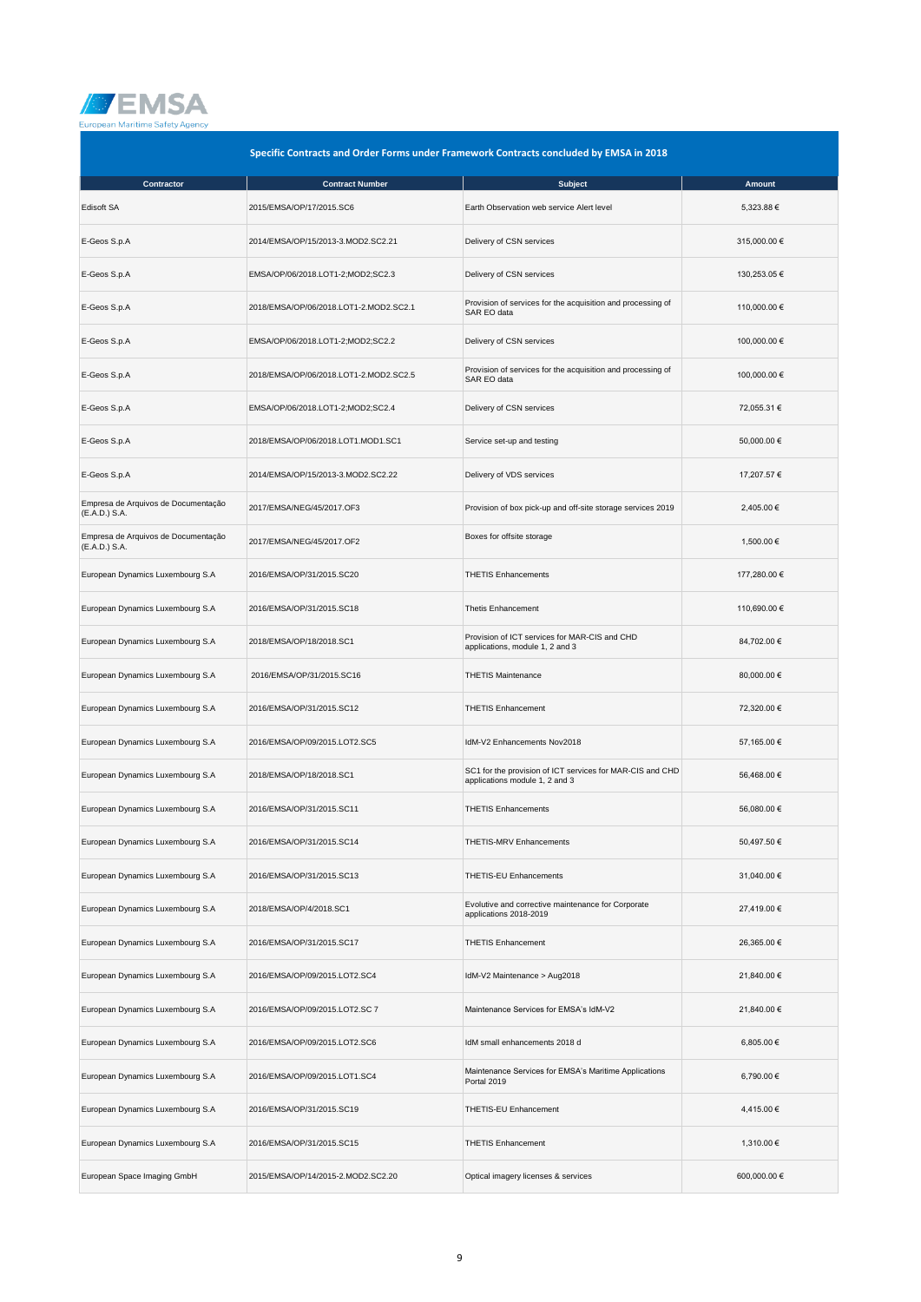

| Specific Contracts and Order Forms under Framework Contracts concluded by EMSA in 2018 |                                        |                                                                                             |              |
|----------------------------------------------------------------------------------------|----------------------------------------|---------------------------------------------------------------------------------------------|--------------|
| Contractor                                                                             | <b>Contract Number</b>                 | <b>Subject</b>                                                                              | Amount       |
| Edisoft SA                                                                             | 2015/EMSA/OP/17/2015.SC6               | Earth Observation web service Alert level                                                   | 5,323.88 €   |
| E-Geos S.p.A                                                                           | 2014/EMSA/OP/15/2013-3.MOD2.SC2.21     | Delivery of CSN services                                                                    | 315,000.00 € |
| E-Geos S.p.A                                                                           | EMSA/OP/06/2018.LOT1-2;MOD2;SC2.3      | Delivery of CSN services                                                                    | 130,253.05 € |
| E-Geos S.p.A                                                                           | 2018/EMSA/OP/06/2018.LOT1-2.MOD2.SC2.1 | Provision of services for the acquisition and processing of<br>SAR EO data                  | 110,000.00 € |
| E-Geos S.p.A                                                                           | EMSA/OP/06/2018.LOT1-2;MOD2;SC2.2      | Delivery of CSN services                                                                    | 100,000.00 € |
| E-Geos S.p.A                                                                           | 2018/EMSA/OP/06/2018.LOT1-2.MOD2.SC2.5 | Provision of services for the acquisition and processing of<br>SAR EO data                  | 100,000.00 € |
| E-Geos S.p.A                                                                           | EMSA/OP/06/2018.LOT1-2;MOD2;SC2.4      | Delivery of CSN services                                                                    | 72,055.31 €  |
| E-Geos S.p.A                                                                           | 2018/EMSA/OP/06/2018.LOT1.MOD1.SC1     | Service set-up and testing                                                                  | 50,000.00 €  |
| E-Geos S.p.A                                                                           | 2014/EMSA/OP/15/2013-3.MOD2.SC2.22     | Delivery of VDS services                                                                    | 17,207.57 €  |
| Empresa de Arquivos de Documentação<br>(E.A.D.) S.A.                                   | 2017/EMSA/NEG/45/2017.OF3              | Provision of box pick-up and off-site storage services 2019                                 | 2,405.00 €   |
| Empresa de Arquivos de Documentação<br>(E.A.D.) S.A.                                   | 2017/EMSA/NEG/45/2017.OF2              | Boxes for offsite storage                                                                   | 1,500.00 €   |
| European Dynamics Luxembourg S.A                                                       | 2016/EMSA/OP/31/2015.SC20              | <b>THETIS Enhancements</b>                                                                  | 177,280.00 € |
| European Dynamics Luxembourg S.A                                                       | 2016/EMSA/OP/31/2015.SC18              | <b>Thetis Enhancement</b>                                                                   | 110,690.00 € |
| European Dynamics Luxembourg S.A                                                       | 2018/EMSA/OP/18/2018.SC1               | Provision of ICT services for MAR-CIS and CHD<br>applications, module 1, 2 and 3            | 84,702.00 €  |
| European Dynamics Luxembourg S.A                                                       | 2016/EMSA/OP/31/2015.SC16              | <b>THETIS Maintenance</b>                                                                   | 80,000.00 €  |
| European Dynamics Luxembourg S.A                                                       | 2016/EMSA/OP/31/2015.SC12              | <b>THETIS Enhancement</b>                                                                   | 72,320.00 €  |
| European Dynamics Luxembourg S.A                                                       | 2016/EMSA/OP/09/2015.LOT2.SC5          | IdM-V2 Enhancements Nov2018                                                                 | 57,165.00 €  |
| European Dynamics Luxembourg S.A                                                       | 2018/EMSA/OP/18/2018.SC1               | SC1 for the provision of ICT services for MAR-CIS and CHD<br>applications module 1, 2 and 3 | 56,468.00 €  |
| European Dynamics Luxembourg S.A                                                       | 2016/EMSA/OP/31/2015.SC11              | <b>THETIS Enhancements</b>                                                                  | 56,080.00 €  |
| European Dynamics Luxembourg S.A                                                       | 2016/EMSA/OP/31/2015.SC14              | THETIS-MRV Enhancements                                                                     | 50,497.50 €  |
| European Dynamics Luxembourg S.A                                                       | 2016/EMSA/OP/31/2015.SC13              | THETIS-EU Enhancements                                                                      | 31,040.00 €  |
| European Dynamics Luxembourg S.A                                                       | 2018/EMSA/OP/4/2018.SC1                | Evolutive and corrective maintenance for Corporate<br>applications 2018-2019                | 27,419.00 €  |
| European Dynamics Luxembourg S.A                                                       | 2016/EMSA/OP/31/2015.SC17              | <b>THETIS Enhancement</b>                                                                   | 26,365.00 €  |
| European Dynamics Luxembourg S.A                                                       | 2016/EMSA/OP/09/2015.LOT2.SC4          | IdM-V2 Maintenance > Aug2018                                                                | 21,840.00 €  |
| European Dynamics Luxembourg S.A                                                       | 2016/EMSA/OP/09/2015.LOT2.SC 7         | Maintenance Services for EMSA's IdM-V2                                                      | 21,840.00 €  |
| European Dynamics Luxembourg S.A                                                       | 2016/EMSA/OP/09/2015.LOT2.SC6          | IdM small enhancements 2018 d                                                               | 6,805.00 €   |
| European Dynamics Luxembourg S.A                                                       | 2016/EMSA/OP/09/2015.LOT1.SC4          | Maintenance Services for EMSA's Maritime Applications<br>Portal 2019                        | 6,790.00 €   |
| European Dynamics Luxembourg S.A                                                       | 2016/EMSA/OP/31/2015.SC19              | THETIS-EU Enhancement                                                                       | 4,415.00 €   |
| European Dynamics Luxembourg S.A                                                       | 2016/EMSA/OP/31/2015.SC15              | <b>THETIS Enhancement</b>                                                                   | 1,310.00 €   |
| European Space Imaging GmbH                                                            | 2015/EMSA/OP/14/2015-2.MOD2.SC2.20     | Optical imagery licenses & services                                                         | 600,000.00 € |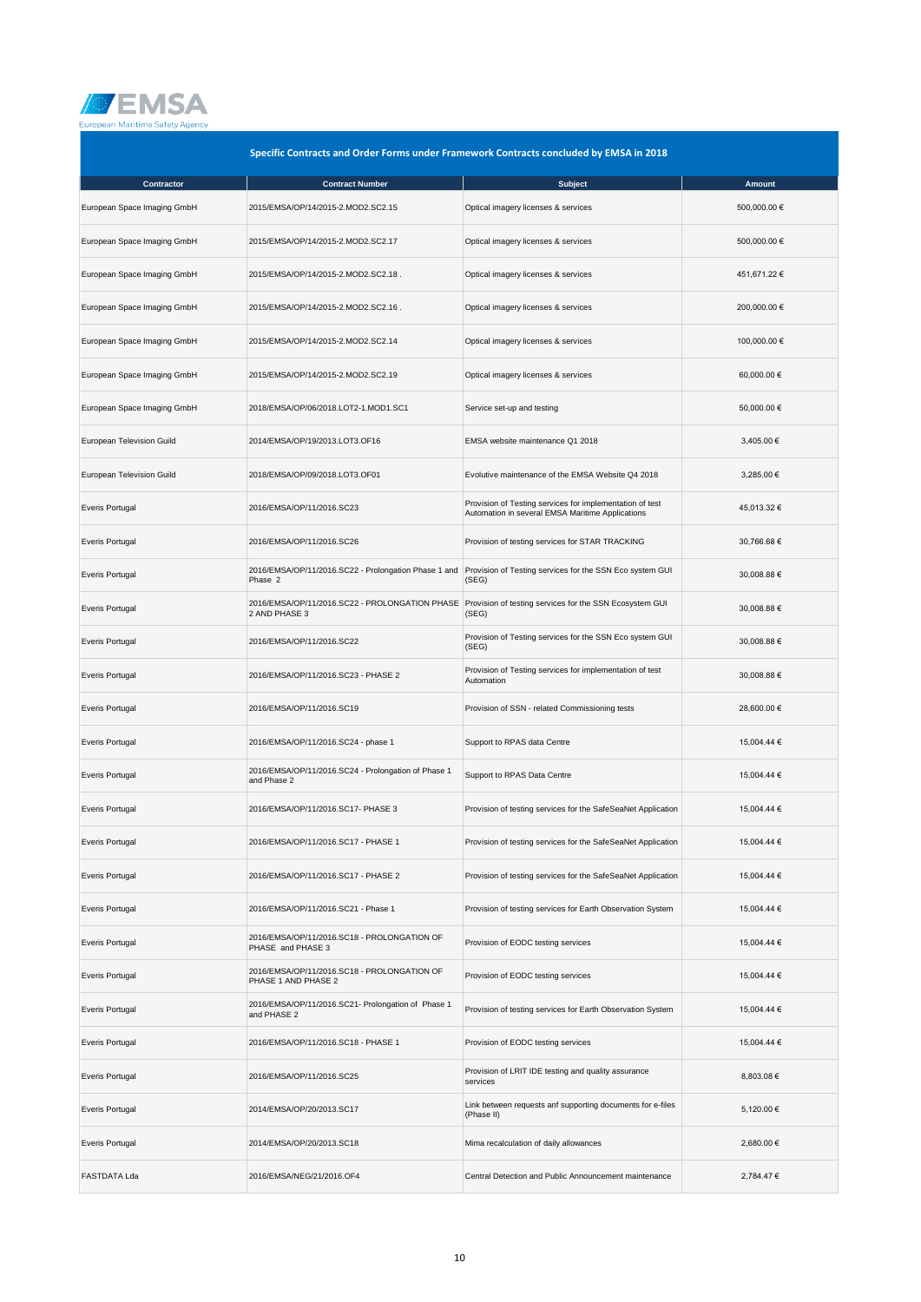

| Specific Contracts and Order Forms under Framework Contracts concluded by EMSA in 2018 |                                                                    |                                                                                                              |              |
|----------------------------------------------------------------------------------------|--------------------------------------------------------------------|--------------------------------------------------------------------------------------------------------------|--------------|
| Contractor                                                                             | <b>Contract Number</b>                                             | <b>Subject</b>                                                                                               | Amount       |
| European Space Imaging GmbH                                                            | 2015/EMSA/OP/14/2015-2.MOD2.SC2.15                                 | Optical imagery licenses & services                                                                          | 500,000.00 € |
| European Space Imaging GmbH                                                            | 2015/EMSA/OP/14/2015-2.MOD2.SC2.17                                 | Optical imagery licenses & services                                                                          | 500,000.00 € |
| European Space Imaging GmbH                                                            | 2015/EMSA/OP/14/2015-2.MOD2.SC2.18.                                | Optical imagery licenses & services                                                                          | 451,671.22 € |
| European Space Imaging GmbH                                                            | 2015/EMSA/OP/14/2015-2.MOD2.SC2.16.                                | Optical imagery licenses & services                                                                          | 200,000.00 € |
| European Space Imaging GmbH                                                            | 2015/EMSA/OP/14/2015-2.MOD2.SC2.14                                 | Optical imagery licenses & services                                                                          | 100,000.00 € |
| European Space Imaging GmbH                                                            | 2015/EMSA/OP/14/2015-2.MOD2.SC2.19                                 | Optical imagery licenses & services                                                                          | 60,000.00 €  |
| European Space Imaging GmbH                                                            | 2018/EMSA/OP/06/2018.LOT2-1.MOD1.SC1                               | Service set-up and testing                                                                                   | 50,000.00 €  |
| European Television Guild                                                              | 2014/EMSA/OP/19/2013.LOT3.OF16                                     | EMSA website maintenance Q1 2018                                                                             | 3,405.00 €   |
| European Television Guild                                                              | 2018/EMSA/OP/09/2018.LOT3.OF01                                     | Evolutive maintenance of the EMSA Website Q4 2018                                                            | 3,285.00 €   |
| Everis Portugal                                                                        | 2016/EMSA/OP/11/2016.SC23                                          | Provision of Testing services for implementation of test<br>Automation in several EMSA Maritime Applications | 45,013.32 €  |
| <b>Everis Portugal</b>                                                                 | 2016/EMSA/OP/11/2016.SC26                                          | Provision of testing services for STAR TRACKING                                                              | 30,766.68 €  |
| Everis Portugal                                                                        | 2016/EMSA/OP/11/2016.SC22 - Prolongation Phase 1 and<br>Phase 2    | Provision of Testing services for the SSN Eco system GUI<br>(SEG)                                            | 30,008.88 €  |
| Everis Portugal                                                                        | 2016/EMSA/OP/11/2016.SC22 - PROLONGATION PHASE<br>2 AND PHASE 3    | Provision of testing services for the SSN Ecosystem GUI<br>(SEG)                                             | 30,008.88 €  |
| <b>Everis Portugal</b>                                                                 | 2016/EMSA/OP/11/2016.SC22                                          | Provision of Testing services for the SSN Eco system GUI<br>(SEG)                                            | 30,008.88 €  |
| Everis Portugal                                                                        | 2016/EMSA/OP/11/2016.SC23 - PHASE 2                                | Provision of Testing services for implementation of test<br>Automation                                       | 30,008.88 €  |
| <b>Everis Portugal</b>                                                                 | 2016/EMSA/OP/11/2016.SC19                                          | Provision of SSN - related Commissioning tests                                                               | 28,600.00 €  |
| Everis Portugal                                                                        | 2016/EMSA/OP/11/2016.SC24 - phase 1                                | Support to RPAS data Centre                                                                                  | 15,004.44 €  |
| Everis Portugal                                                                        | 2016/EMSA/OP/11/2016.SC24 - Prolongation of Phase 1<br>and Phase 2 | Support to RPAS Data Centre                                                                                  | 15,004.44 €  |
| <b>Everis Portugal</b>                                                                 | 2016/EMSA/OP/11/2016.SC17- PHASE 3                                 | Provision of testing services for the SafeSeaNet Application                                                 | 15,004.44 €  |
| <b>Everis Portugal</b>                                                                 | 2016/EMSA/OP/11/2016.SC17 - PHASE 1                                | Provision of testing services for the SafeSeaNet Application                                                 | 15,004.44 €  |
| Everis Portugal                                                                        | 2016/EMSA/OP/11/2016.SC17 - PHASE 2                                | Provision of testing services for the SafeSeaNet Application                                                 | 15,004.44 €  |
| Everis Portugal                                                                        | 2016/EMSA/OP/11/2016.SC21 - Phase 1                                | Provision of testing services for Earth Observation System                                                   | 15,004.44 €  |
| Everis Portugal                                                                        | 2016/EMSA/OP/11/2016.SC18 - PROLONGATION OF<br>PHASE and PHASE 3   | Provision of EODC testing services                                                                           | 15,004.44 €  |
| <b>Everis Portugal</b>                                                                 | 2016/EMSA/OP/11/2016.SC18 - PROLONGATION OF<br>PHASE 1 AND PHASE 2 | Provision of EODC testing services                                                                           | 15,004.44 €  |
| Everis Portugal                                                                        | 2016/EMSA/OP/11/2016.SC21- Prolongation of Phase 1<br>and PHASE 2  | Provision of testing services for Earth Observation System                                                   | 15,004.44 €  |
| <b>Everis Portugal</b>                                                                 | 2016/EMSA/OP/11/2016.SC18 - PHASE 1                                | Provision of EODC testing services                                                                           | 15,004.44 €  |
| Everis Portugal                                                                        | 2016/EMSA/OP/11/2016.SC25                                          | Provision of LRIT IDE testing and quality assurance<br>services                                              | 8,803.08 €   |
| Everis Portugal                                                                        | 2014/EMSA/OP/20/2013.SC17                                          | Link between requests anf supporting documents for e-files<br>(Phase II)                                     | 5,120.00 €   |
| <b>Everis Portugal</b>                                                                 | 2014/EMSA/OP/20/2013.SC18                                          | Mima recalculation of daily allowances                                                                       | 2,680.00 €   |
| <b>FASTDATA Lda</b>                                                                    | 2016/EMSA/NEG/21/2016.OF4                                          | Central Detection and Public Announcement maintenance                                                        | 2,784.47 €   |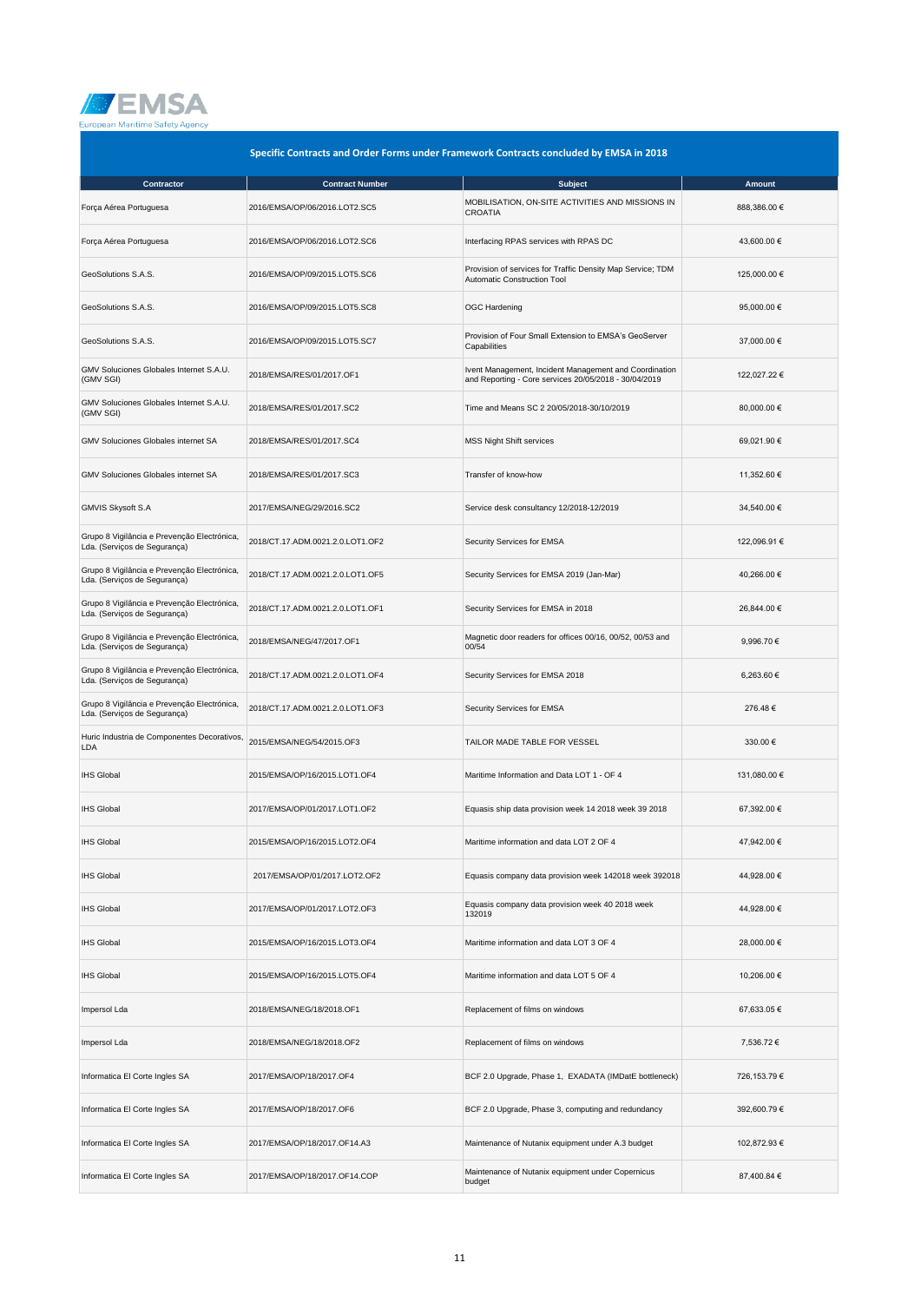

| Specific Contracts and Order Forms under Framework Contracts concluded by EMSA in 2018 |                                  |                                                                                                                 |              |
|----------------------------------------------------------------------------------------|----------------------------------|-----------------------------------------------------------------------------------------------------------------|--------------|
| Contractor                                                                             | <b>Contract Number</b>           | <b>Subject</b>                                                                                                  | Amount       |
| Força Aérea Portuguesa                                                                 | 2016/EMSA/OP/06/2016.LOT2.SC5    | MOBILISATION, ON-SITE ACTIVITIES AND MISSIONS IN<br><b>CROATIA</b>                                              | 888,386.00 € |
| Força Aérea Portuguesa                                                                 | 2016/EMSA/OP/06/2016.LOT2.SC6    | Interfacing RPAS services with RPAS DC                                                                          | 43,600.00 €  |
| GeoSolutions S.A.S.                                                                    | 2016/EMSA/OP/09/2015.LOT5.SC6    | Provision of services for Traffic Density Map Service; TDM<br><b>Automatic Construction Tool</b>                | 125,000.00 € |
| GeoSolutions S.A.S.                                                                    | 2016/EMSA/OP/09/2015.LOT5.SC8    | <b>OGC Hardening</b>                                                                                            | 95,000.00 €  |
| GeoSolutions S.A.S.                                                                    | 2016/EMSA/OP/09/2015.LOT5.SC7    | Provision of Four Small Extension to EMSA's GeoServer<br>Capabilities                                           | 37,000.00 €  |
| GMV Soluciones Globales Internet S.A.U.<br>(GMV SGI)                                   | 2018/EMSA/RES/01/2017.OF1        | Ivent Management, Incident Management and Coordination<br>and Reporting - Core services 20/05/2018 - 30/04/2019 | 122,027.22 € |
| GMV Soluciones Globales Internet S.A.U.<br>(GMV SGI)                                   | 2018/EMSA/RES/01/2017.SC2        | Time and Means SC 2 20/05/2018-30/10/2019                                                                       | 80,000.00 €  |
| GMV Soluciones Globales internet SA                                                    | 2018/EMSA/RES/01/2017.SC4        | <b>MSS Night Shift services</b>                                                                                 | 69,021.90 €  |
| <b>GMV Soluciones Globales internet SA</b>                                             | 2018/EMSA/RES/01/2017.SC3        | Transfer of know-how                                                                                            | 11,352.60 €  |
| GMVIS Skysoft S.A                                                                      | 2017/EMSA/NEG/29/2016.SC2        | Service desk consultancy 12/2018-12/2019                                                                        | 34,540.00 €  |
| Grupo 8 Vigilância e Prevenção Electrónica,<br>Lda. (Serviços de Segurança)            | 2018/CT.17.ADM.0021.2.0.LOT1.OF2 | Security Services for EMSA                                                                                      | 122,096.91 € |
| Grupo 8 Vigilância e Prevenção Electrónica,<br>Lda. (Serviços de Segurança)            | 2018/CT.17.ADM.0021.2.0.LOT1.OF5 | Security Services for EMSA 2019 (Jan-Mar)                                                                       | 40,266.00 €  |
| Grupo 8 Vigilância e Prevenção Electrónica,<br>Lda. (Serviços de Segurança)            | 2018/CT.17.ADM.0021.2.0.LOT1.OF1 | Security Services for EMSA in 2018                                                                              | 26,844.00 €  |
| Grupo 8 Vigilância e Prevenção Electrónica,<br>Lda. (Serviços de Segurança)            | 2018/EMSA/NEG/47/2017.OF1        | Magnetic door readers for offices 00/16, 00/52, 00/53 and<br>00/54                                              | 9,996.70 €   |
| Grupo 8 Vigilância e Prevenção Electrónica,<br>Lda. (Serviços de Segurança)            | 2018/CT.17.ADM.0021.2.0.LOT1.OF4 | Security Services for EMSA 2018                                                                                 | 6,263.60 €   |
| Grupo 8 Vigilância e Prevenção Electrónica,<br>Lda. (Serviços de Segurança)            | 2018/CT.17.ADM.0021.2.0.LOT1.OF3 | Security Services for EMSA                                                                                      | 276.48€      |
| Huric Industria de Componentes Decorativos,<br><b>LDA</b>                              | 2015/EMSA/NEG/54/2015.OF3        | TAILOR MADE TABLE FOR VESSEL                                                                                    | 330.00€      |
| <b>IHS Global</b>                                                                      | 2015/EMSA/OP/16/2015.LOT1.OF4    | Maritime Information and Data LOT 1 - OF 4                                                                      | 131,080.00 € |
| <b>IHS Global</b>                                                                      | 2017/EMSA/OP/01/2017.LOT1.OF2    | Equasis ship data provision week 14 2018 week 39 2018                                                           | 67,392.00 €  |
| <b>IHS Global</b>                                                                      | 2015/EMSA/OP/16/2015.LOT2.OF4    | Maritime information and data LOT 2 OF 4                                                                        | 47,942.00 €  |
| <b>IHS Global</b>                                                                      | 2017/EMSA/OP/01/2017.LOT2.OF2    | Equasis company data provision week 142018 week 392018                                                          | 44,928.00 €  |
| <b>IHS Global</b>                                                                      | 2017/EMSA/OP/01/2017.LOT2.OF3    | Equasis company data provision week 40 2018 week<br>132019                                                      | 44,928.00 €  |
| <b>IHS Global</b>                                                                      | 2015/EMSA/OP/16/2015.LOT3.OF4    | Maritime information and data LOT 3 OF 4                                                                        | 28,000.00 €  |
| <b>IHS Global</b>                                                                      | 2015/EMSA/OP/16/2015.LOT5.OF4    | Maritime information and data LOT 5 OF 4                                                                        | 10,206.00 €  |
| Impersol Lda                                                                           | 2018/EMSA/NEG/18/2018.OF1        | Replacement of films on windows                                                                                 | 67,633.05 €  |
| Impersol Lda                                                                           | 2018/EMSA/NEG/18/2018.OF2        | Replacement of films on windows                                                                                 | 7,536.72 €   |
| Informatica El Corte Ingles SA                                                         | 2017/EMSA/OP/18/2017.OF4         | BCF 2.0 Upgrade, Phase 1, EXADATA (IMDatE bottleneck)                                                           | 726,153.79 € |
| Informatica El Corte Ingles SA                                                         | 2017/EMSA/OP/18/2017.OF6         | BCF 2.0 Upgrade, Phase 3, computing and redundancy                                                              | 392,600.79€  |
| Informatica El Corte Ingles SA                                                         | 2017/EMSA/OP/18/2017.OF14.A3     | Maintenance of Nutanix equipment under A.3 budget                                                               | 102,872.93 € |
| Informatica El Corte Ingles SA                                                         | 2017/EMSA/OP/18/2017.OF14.COP    | Maintenance of Nutanix equipment under Copernicus<br>budget                                                     | 87,400.84 €  |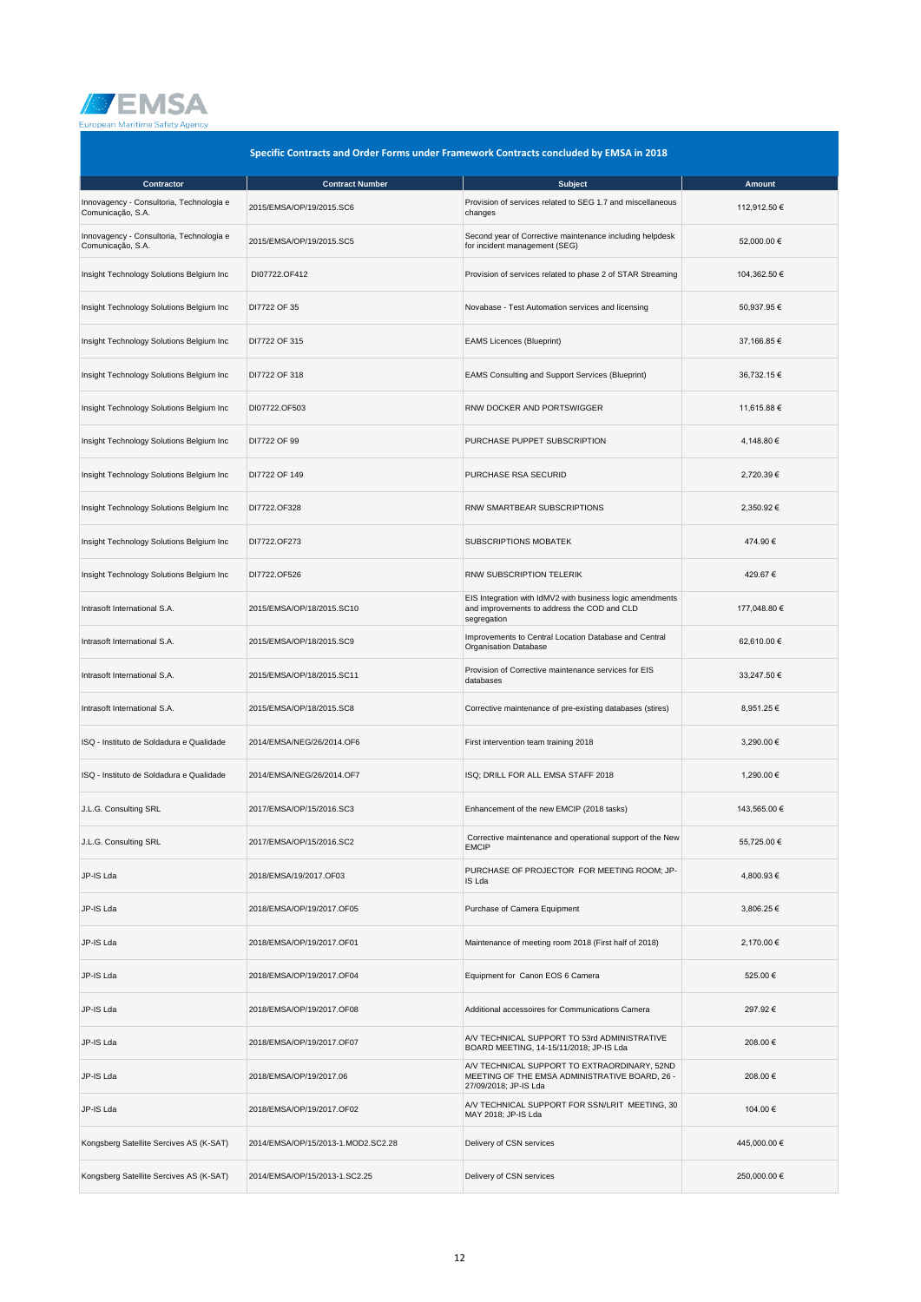

| Specific Contracts and Order Forms under Framework Contracts concluded by EMSA in 2018 |                                    |                                                                                                                         |              |
|----------------------------------------------------------------------------------------|------------------------------------|-------------------------------------------------------------------------------------------------------------------------|--------------|
| Contractor                                                                             | <b>Contract Number</b>             | <b>Subject</b>                                                                                                          | Amount       |
| Innovagency - Consultoria, Technologia e<br>Comunicação, S.A.                          | 2015/EMSA/OP/19/2015.SC6           | Provision of services related to SEG 1.7 and miscellaneous<br>changes                                                   | 112,912.50 € |
| Innovagency - Consultoria, Technologia e<br>Comunicação, S.A.                          | 2015/EMSA/OP/19/2015.SC5           | Second year of Corrective maintenance including helpdesk<br>for incident management (SEG)                               | 52,000.00 €  |
| Insight Technology Solutions Belgium Inc                                               | DI07722.OF412                      | Provision of services related to phase 2 of STAR Streaming                                                              | 104,362.50 € |
| Insight Technology Solutions Belgium Inc                                               | DI7722 OF 35                       | Novabase - Test Automation services and licensing                                                                       | 50,937.95€   |
| Insight Technology Solutions Belgium Inc                                               | DI7722 OF 315                      | <b>EAMS Licences (Blueprint)</b>                                                                                        | 37,166.85 €  |
| Insight Technology Solutions Belgium Inc                                               | DI7722 OF 318                      | EAMS Consulting and Support Services (Blueprint)                                                                        | 36,732.15 €  |
| Insight Technology Solutions Belgium Inc                                               | DI07722.OF503                      | RNW DOCKER AND PORTSWIGGER                                                                                              | 11,615.88 €  |
| Insight Technology Solutions Belgium Inc                                               | DI7722 OF 99                       | PURCHASE PUPPET SUBSCRIPTION                                                                                            | 4,148.80 €   |
| Insight Technology Solutions Belgium Inc                                               | DI7722 OF 149                      | PURCHASE RSA SECURID                                                                                                    | 2,720.39€    |
| Insight Technology Solutions Belgium Inc                                               | DI7722.OF328                       | RNW SMARTBEAR SUBSCRIPTIONS                                                                                             | 2,350.92 €   |
| Insight Technology Solutions Belgium Inc                                               | DI7722.OF273                       | SUBSCRIPTIONS MOBATEK                                                                                                   | 474.90€      |
| Insight Technology Solutions Belgium Inc                                               | DI7722.OF526                       | RNW SUBSCRIPTION TELERIK                                                                                                | 429.67€      |
| Intrasoft International S.A.                                                           | 2015/EMSA/OP/18/2015.SC10          | EIS Integration with IdMV2 with business logic amendments<br>and improvements to address the COD and CLD<br>segregation | 177,048.80 € |
| Intrasoft International S.A.                                                           | 2015/EMSA/OP/18/2015.SC9           | Improvements to Central Location Database and Central<br><b>Organisation Database</b>                                   | 62,610.00 €  |
| Intrasoft International S.A.                                                           | 2015/EMSA/OP/18/2015.SC11          | Provision of Corrective maintenance services for EIS<br>databases                                                       | 33,247.50 €  |
| Intrasoft International S.A.                                                           | 2015/EMSA/OP/18/2015.SC8           | Corrective maintenance of pre-existing databases (stires)                                                               | 8,951.25 €   |
| ISQ - Instituto de Soldadura e Qualidade                                               | 2014/EMSA/NEG/26/2014.OF6          | First intervention team training 2018                                                                                   | 3,290.00 €   |
| ISQ - Instituto de Soldadura e Qualidade                                               | 2014/EMSA/NEG/26/2014.OF7          | ISQ; DRILL FOR ALL EMSA STAFF 2018                                                                                      | 1,290.00 €   |
| J.L.G. Consulting SRL                                                                  | 2017/EMSA/OP/15/2016.SC3           | Enhancement of the new EMCIP (2018 tasks)                                                                               | 143,565.00 € |
| J.L.G. Consulting SRL                                                                  | 2017/EMSA/OP/15/2016.SC2           | Corrective maintenance and operational support of the New<br><b>EMCIP</b>                                               | 55,725.00 €  |
| JP-IS Lda                                                                              | 2018/EMSA/19/2017.OF03             | PURCHASE OF PROJECTOR FOR MEETING ROOM; JP-<br>IS Lda                                                                   | 4,800.93 €   |
| JP-IS Lda                                                                              | 2018/EMSA/OP/19/2017.OF05          | Purchase of Camera Equipment                                                                                            | 3,806.25 €   |
| JP-IS Lda                                                                              | 2018/EMSA/OP/19/2017.OF01          | Maintenance of meeting room 2018 (First half of 2018)                                                                   | 2,170.00 €   |
| JP-IS Lda                                                                              | 2018/EMSA/OP/19/2017.OF04          | Equipment for Canon EOS 6 Camera                                                                                        | 525.00€      |
| JP-IS Lda                                                                              | 2018/EMSA/OP/19/2017.OF08          | Additional accessoires for Communications Camera                                                                        | 297.92€      |
| JP-IS Lda                                                                              | 2018/EMSA/OP/19/2017.OF07          | A/V TECHNICAL SUPPORT TO 53rd ADMINISTRATIVE<br>BOARD MEETING, 14-15/11/2018; JP-IS Lda                                 | 208.00€      |
| JP-IS Lda                                                                              | 2018/EMSA/OP/19/2017.06            | A/V TECHNICAL SUPPORT TO EXTRAORDINARY, 52ND<br>MEETING OF THE EMSA ADMINISTRATIVE BOARD, 26 -<br>27/09/2018; JP-IS Lda | 208.00€      |
| JP-IS Lda                                                                              | 2018/EMSA/OP/19/2017.OF02          | A/V TECHNICAL SUPPORT FOR SSN/LRIT MEETING, 30<br>MAY 2018; JP-IS Lda                                                   | 104.00 €     |
| Kongsberg Satellite Sercives AS (K-SAT)                                                | 2014/EMSA/OP/15/2013-1.MOD2.SC2.28 | Delivery of CSN services                                                                                                | 445,000.00 € |
| Kongsberg Satellite Sercives AS (K-SAT)                                                | 2014/EMSA/OP/15/2013-1.SC2.25      | Delivery of CSN services                                                                                                | 250,000.00 € |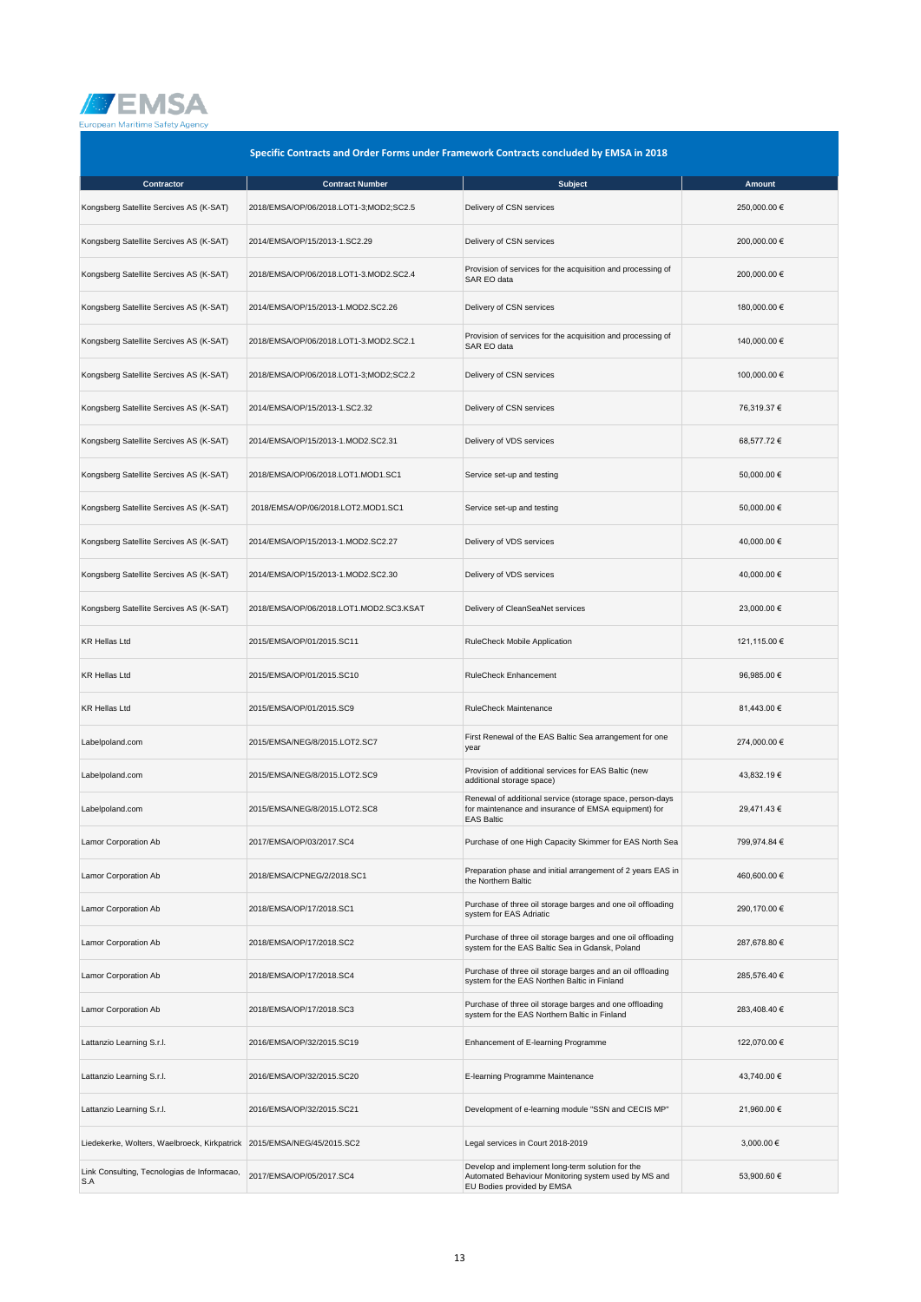

| Specific Contracts and Order Forms under Framework Contracts concluded by EMSA in 2018 |                                         |                                                                                                                                        |              |
|----------------------------------------------------------------------------------------|-----------------------------------------|----------------------------------------------------------------------------------------------------------------------------------------|--------------|
| Contractor                                                                             | <b>Contract Number</b>                  | <b>Subject</b>                                                                                                                         | Amount       |
| Kongsberg Satellite Sercives AS (K-SAT)                                                | 2018/EMSA/OP/06/2018.LOT1-3;MOD2;SC2.5  | Delivery of CSN services                                                                                                               | 250,000.00 € |
| Kongsberg Satellite Sercives AS (K-SAT)                                                | 2014/EMSA/OP/15/2013-1.SC2.29           | Delivery of CSN services                                                                                                               | 200,000.00 € |
| Kongsberg Satellite Sercives AS (K-SAT)                                                | 2018/EMSA/OP/06/2018.LOT1-3.MOD2.SC2.4  | Provision of services for the acquisition and processing of<br>SAR EO data                                                             | 200,000.00 € |
| Kongsberg Satellite Sercives AS (K-SAT)                                                | 2014/EMSA/OP/15/2013-1.MOD2.SC2.26      | Delivery of CSN services                                                                                                               | 180,000.00 € |
| Kongsberg Satellite Sercives AS (K-SAT)                                                | 2018/EMSA/OP/06/2018.LOT1-3.MOD2.SC2.1  | Provision of services for the acquisition and processing of<br>SAR EO data                                                             | 140,000.00 € |
| Kongsberg Satellite Sercives AS (K-SAT)                                                | 2018/EMSA/OP/06/2018.LOT1-3;MOD2;SC2.2  | Delivery of CSN services                                                                                                               | 100,000.00 € |
| Kongsberg Satellite Sercives AS (K-SAT)                                                | 2014/EMSA/OP/15/2013-1.SC2.32           | Delivery of CSN services                                                                                                               | 76,319.37 €  |
| Kongsberg Satellite Sercives AS (K-SAT)                                                | 2014/EMSA/OP/15/2013-1.MOD2.SC2.31      | Delivery of VDS services                                                                                                               | 68,577.72 €  |
| Kongsberg Satellite Sercives AS (K-SAT)                                                | 2018/EMSA/OP/06/2018.LOT1.MOD1.SC1      | Service set-up and testing                                                                                                             | 50,000.00 €  |
| Kongsberg Satellite Sercives AS (K-SAT)                                                | 2018/EMSA/OP/06/2018.LOT2.MOD1.SC1      | Service set-up and testing                                                                                                             | 50,000.00 €  |
| Kongsberg Satellite Sercives AS (K-SAT)                                                | 2014/EMSA/OP/15/2013-1.MOD2.SC2.27      | Delivery of VDS services                                                                                                               | 40,000.00 €  |
| Kongsberg Satellite Sercives AS (K-SAT)                                                | 2014/EMSA/OP/15/2013-1.MOD2.SC2.30      | Delivery of VDS services                                                                                                               | 40,000.00 €  |
| Kongsberg Satellite Sercives AS (K-SAT)                                                | 2018/EMSA/OP/06/2018.LOT1.MOD2.SC3.KSAT | Delivery of CleanSeaNet services                                                                                                       | 23,000.00 €  |
| <b>KR Hellas Ltd</b>                                                                   | 2015/EMSA/OP/01/2015.SC11               | RuleCheck Mobile Application                                                                                                           | 121,115.00 € |
| <b>KR Hellas Ltd</b>                                                                   | 2015/EMSA/OP/01/2015.SC10               | <b>RuleCheck Enhancement</b>                                                                                                           | 96,985.00 €  |
| <b>KR Hellas Ltd</b>                                                                   | 2015/EMSA/OP/01/2015.SC9                | RuleCheck Maintenance                                                                                                                  | 81,443.00 €  |
| Labelpoland.com                                                                        | 2015/EMSA/NEG/8/2015.LOT2.SC7           | First Renewal of the EAS Baltic Sea arrangement for one<br>year                                                                        | 274,000.00 € |
| Labelpoland.com                                                                        | 2015/EMSA/NEG/8/2015.LOT2.SC9           | Provision of additional services for EAS Baltic (new<br>additional storage space)                                                      | 43,832.19 €  |
| Labelpoland.com                                                                        | 2015/EMSA/NEG/8/2015.LOT2.SC8           | Renewal of additional service (storage space, person-days<br>for maintenance and insurance of EMSA equipment) for<br><b>EAS Baltic</b> | 29,471.43 €  |
| Lamor Corporation Ab                                                                   | 2017/EMSA/OP/03/2017.SC4                | Purchase of one High Capacity Skimmer for EAS North Sea                                                                                | 799,974.84 € |
| Lamor Corporation Ab                                                                   | 2018/EMSA/CPNEG/2/2018.SC1              | Preparation phase and initial arrangement of 2 years EAS in<br>the Northern Baltic                                                     | 460,600.00 € |
| Lamor Corporation Ab                                                                   | 2018/EMSA/OP/17/2018.SC1                | Purchase of three oil storage barges and one oil offloading<br>system for EAS Adriatic                                                 | 290.170.00 € |
| Lamor Corporation Ab                                                                   | 2018/EMSA/OP/17/2018.SC2                | Purchase of three oil storage barges and one oil offloading<br>system for the EAS Baltic Sea in Gdansk, Poland                         | 287,678.80 € |
| Lamor Corporation Ab                                                                   | 2018/EMSA/OP/17/2018.SC4                | Purchase of three oil storage barges and an oil offloading<br>system for the EAS Northen Baltic in Finland                             | 285,576.40 € |
| Lamor Corporation Ab                                                                   | 2018/EMSA/OP/17/2018.SC3                | Purchase of three oil storage barges and one offloading<br>system for the EAS Northern Baltic in Finland                               | 283,408.40 € |
| Lattanzio Learning S.r.l.                                                              | 2016/EMSA/OP/32/2015.SC19               | Enhancement of E-learning Programme                                                                                                    | 122,070.00 € |
| Lattanzio Learning S.r.l.                                                              | 2016/EMSA/OP/32/2015.SC20               | E-learning Programme Maintenance                                                                                                       | 43,740.00 €  |
| Lattanzio Learning S.r.l.                                                              | 2016/EMSA/OP/32/2015.SC21               | Development of e-learning module "SSN and CECIS MP"                                                                                    | 21,960.00 €  |
| Liedekerke, Wolters, Waelbroeck, Kirkpatrick 2015/EMSA/NEG/45/2015.SC2                 |                                         | Legal services in Court 2018-2019                                                                                                      | 3,000.00 €   |
| Link Consulting, Tecnologias de Informacao,<br>S.A                                     | 2017/EMSA/OP/05/2017.SC4                | Develop and implement long-term solution for the<br>Automated Behaviour Monitoring system used by MS and<br>EU Bodies provided by EMSA | 53,900.60 €  |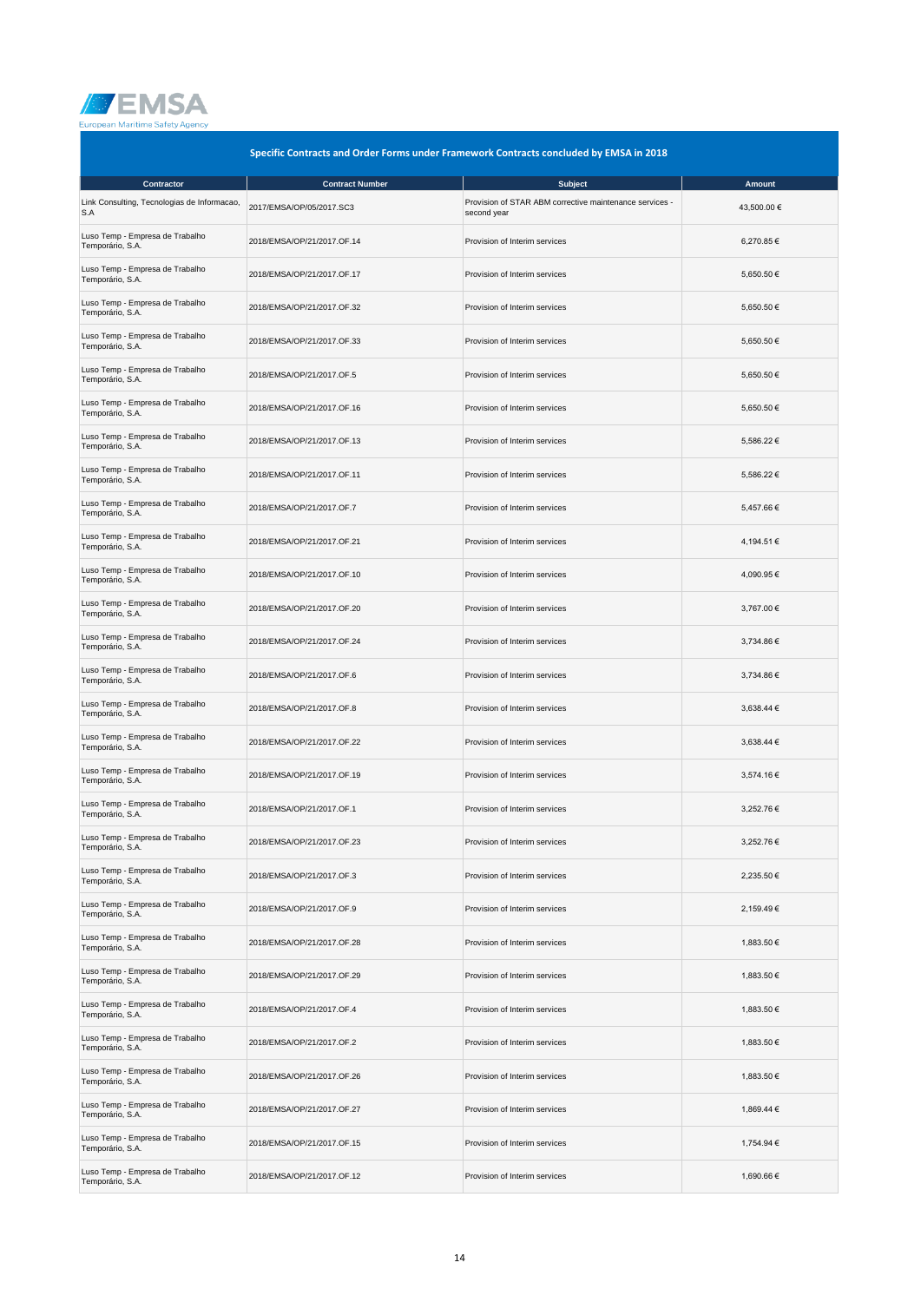

| Specific Contracts and Order Forms under Framework Contracts concluded by EMSA in 2018 |                            |                                                                        |             |
|----------------------------------------------------------------------------------------|----------------------------|------------------------------------------------------------------------|-------------|
| Contractor                                                                             | <b>Contract Number</b>     | <b>Subject</b>                                                         | Amount      |
| Link Consulting, Tecnologias de Informacao,<br>S.A                                     | 2017/EMSA/OP/05/2017.SC3   | Provision of STAR ABM corrective maintenance services -<br>second year | 43,500.00 € |
| Luso Temp - Empresa de Trabalho<br>Temporário, S.A.                                    | 2018/EMSA/OP/21/2017.OF.14 | Provision of Interim services                                          | 6,270.85€   |
| Luso Temp - Empresa de Trabalho<br>Temporário, S.A.                                    | 2018/EMSA/OP/21/2017.OF.17 | Provision of Interim services                                          | 5,650.50 €  |
| Luso Temp - Empresa de Trabalho<br>Temporário, S.A.                                    | 2018/EMSA/OP/21/2017.OF.32 | Provision of Interim services                                          | 5,650.50 €  |
| Luso Temp - Empresa de Trabalho<br>Temporário, S.A.                                    | 2018/EMSA/OP/21/2017.OF.33 | Provision of Interim services                                          | 5.650.50 €  |
| Luso Temp - Empresa de Trabalho<br>Temporário, S.A.                                    | 2018/EMSA/OP/21/2017.OF.5  | Provision of Interim services                                          | 5,650.50 €  |
| Luso Temp - Empresa de Trabalho<br>Temporário, S.A.                                    | 2018/EMSA/OP/21/2017.OF.16 | Provision of Interim services                                          | 5,650.50 €  |
| Luso Temp - Empresa de Trabalho<br>Temporário, S.A.                                    | 2018/EMSA/OP/21/2017.OF.13 | Provision of Interim services                                          | 5,586.22 €  |
| Luso Temp - Empresa de Trabalho<br>Temporário, S.A.                                    | 2018/EMSA/OP/21/2017.OF.11 | Provision of Interim services                                          | 5,586.22 €  |
| Luso Temp - Empresa de Trabalho<br>Temporário, S.A.                                    | 2018/EMSA/OP/21/2017.OF.7  | Provision of Interim services                                          | 5,457.66 €  |
| Luso Temp - Empresa de Trabalho<br>Temporário, S.A.                                    | 2018/EMSA/OP/21/2017.OF.21 | Provision of Interim services                                          | 4,194.51 €  |
| Luso Temp - Empresa de Trabalho<br>Temporário, S.A.                                    | 2018/EMSA/OP/21/2017.OF.10 | Provision of Interim services                                          | 4.090.95€   |
| Luso Temp - Empresa de Trabalho<br>Temporário, S.A.                                    | 2018/EMSA/OP/21/2017.OF.20 | Provision of Interim services                                          | 3,767.00 €  |
| Luso Temp - Empresa de Trabalho<br>Temporário, S.A.                                    | 2018/EMSA/OP/21/2017.OF.24 | Provision of Interim services                                          | 3,734.86 €  |
| Luso Temp - Empresa de Trabalho<br>Temporário, S.A.                                    | 2018/EMSA/OP/21/2017.OF.6  | Provision of Interim services                                          | 3,734.86 €  |
| Luso Temp - Empresa de Trabalho<br>Temporário, S.A.                                    | 2018/EMSA/OP/21/2017.OF.8  | Provision of Interim services                                          | 3,638.44 €  |
| Luso Temp - Empresa de Trabalho<br>Temporário, S.A.                                    | 2018/EMSA/OP/21/2017.OF.22 | Provision of Interim services                                          | 3,638.44 €  |
| Luso Temp - Empresa de Trabalho<br>Temporário, S.A.                                    | 2018/EMSA/OP/21/2017.OF.19 | Provision of Interim services                                          | 3,574.16 €  |
| Luso Temp - Empresa de Trabalho<br>Temporário, S.A.                                    | 2018/EMSA/OP/21/2017.OF.1  | Provision of Interim services                                          | 3,252.76 €  |
| Luso Temp - Empresa de Trabalho<br>Temporário, S.A.                                    | 2018/EMSA/OP/21/2017.OF.23 | Provision of Interim services                                          | 3,252.76 €  |
| Luso Temp - Empresa de Trabalho<br>Temporário, S.A.                                    | 2018/EMSA/OP/21/2017.OF.3  | Provision of Interim services                                          | 2,235.50 €  |
| Luso Temp - Empresa de Trabalho<br>Temporário, S.A.                                    | 2018/EMSA/OP/21/2017.OF.9  | Provision of Interim services                                          | 2,159.49€   |
| Luso Temp - Empresa de Trabalho<br>Temporário, S.A.                                    | 2018/EMSA/OP/21/2017.OF.28 | Provision of Interim services                                          | 1,883.50 €  |
| Luso Temp - Empresa de Trabalho<br>Temporário, S.A.                                    | 2018/EMSA/OP/21/2017.OF.29 | Provision of Interim services                                          | 1,883.50 €  |
| Luso Temp - Empresa de Trabalho<br>Temporário, S.A.                                    | 2018/EMSA/OP/21/2017.OF.4  | Provision of Interim services                                          | 1,883.50 €  |
| Luso Temp - Empresa de Trabalho<br>Temporário, S.A.                                    | 2018/EMSA/OP/21/2017.OF.2  | Provision of Interim services                                          | 1,883.50 €  |
| Luso Temp - Empresa de Trabalho<br>Temporário, S.A.                                    | 2018/EMSA/OP/21/2017.OF.26 | Provision of Interim services                                          | 1,883.50 €  |
| Luso Temp - Empresa de Trabalho<br>Temporário, S.A.                                    | 2018/EMSA/OP/21/2017.OF.27 | Provision of Interim services                                          | 1,869.44 €  |
| Luso Temp - Empresa de Trabalho<br>Temporário, S.A.                                    | 2018/EMSA/OP/21/2017.OF.15 | Provision of Interim services                                          | 1,754.94 €  |
| Luso Temp - Empresa de Trabalho<br>Temporário, S.A.                                    | 2018/EMSA/OP/21/2017.OF.12 | Provision of Interim services                                          | 1,690.66 €  |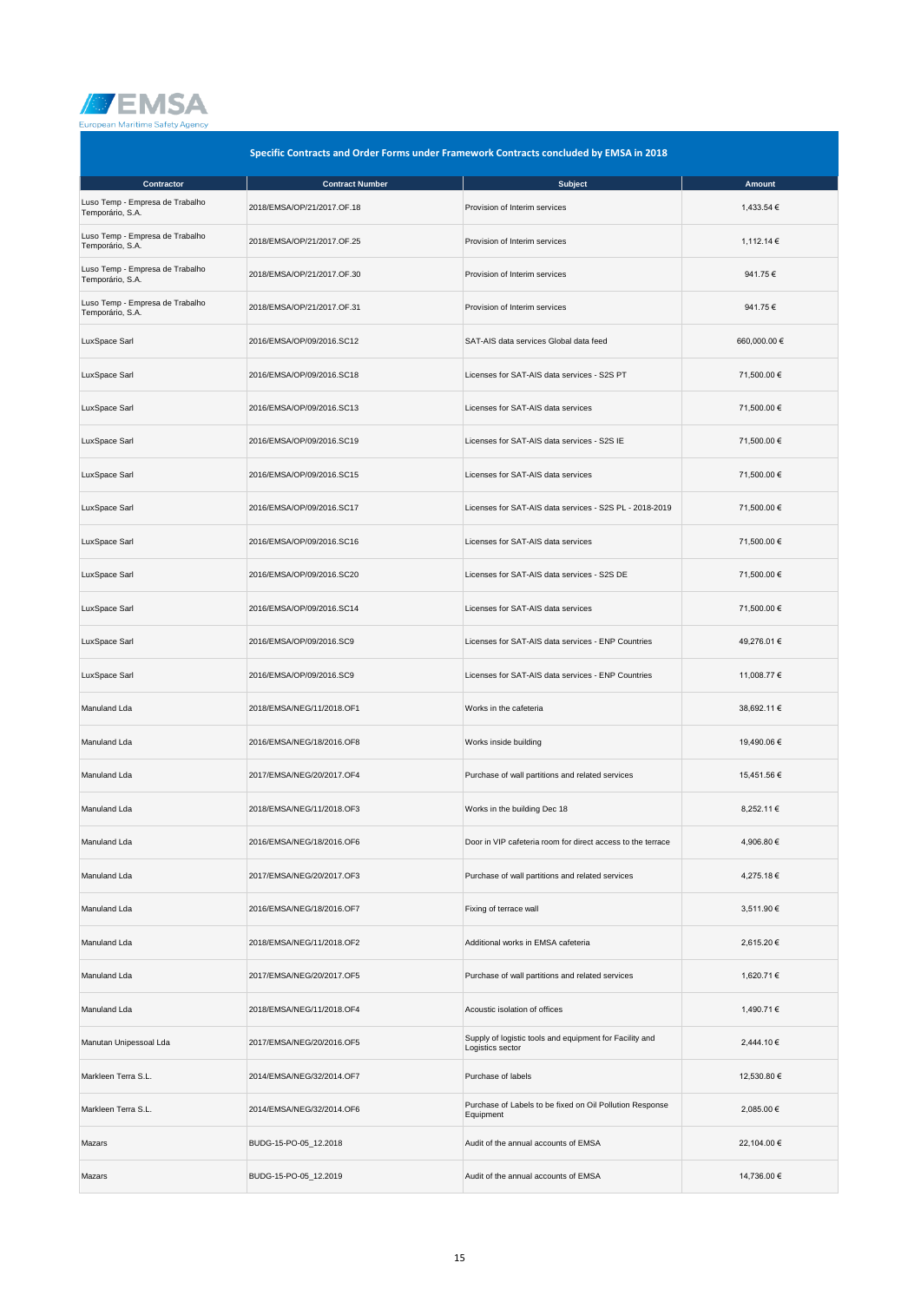

| Specific Contracts and Order Forms under Framework Contracts concluded by EMSA in 2018 |                            |                                                                             |              |
|----------------------------------------------------------------------------------------|----------------------------|-----------------------------------------------------------------------------|--------------|
| Contractor                                                                             | <b>Contract Number</b>     | <b>Subject</b>                                                              | Amount       |
| Luso Temp - Empresa de Trabalho<br>Temporário, S.A.                                    | 2018/EMSA/OP/21/2017.OF.18 | Provision of Interim services                                               | 1,433.54 €   |
| Luso Temp - Empresa de Trabalho<br>Temporário, S.A.                                    | 2018/EMSA/OP/21/2017.OF.25 | Provision of Interim services                                               | 1,112.14 €   |
| Luso Temp - Empresa de Trabalho<br>Temporário, S.A.                                    | 2018/EMSA/OP/21/2017.OF.30 | Provision of Interim services                                               | 941.75€      |
| Luso Temp - Empresa de Trabalho<br>Temporário, S.A.                                    | 2018/EMSA/OP/21/2017.OF.31 | Provision of Interim services                                               | 941.75€      |
| LuxSpace Sarl                                                                          | 2016/EMSA/OP/09/2016.SC12  | SAT-AIS data services Global data feed                                      | 660,000.00 € |
| LuxSpace Sarl                                                                          | 2016/EMSA/OP/09/2016.SC18  | Licenses for SAT-AIS data services - S2S PT                                 | 71,500.00 €  |
| LuxSpace Sarl                                                                          | 2016/EMSA/OP/09/2016.SC13  | Licenses for SAT-AIS data services                                          | 71,500.00 €  |
| LuxSpace Sarl                                                                          | 2016/EMSA/OP/09/2016.SC19  | Licenses for SAT-AIS data services - S2S IE                                 | 71,500.00 €  |
| LuxSpace Sarl                                                                          | 2016/EMSA/OP/09/2016.SC15  | Licenses for SAT-AIS data services                                          | 71,500.00 €  |
| LuxSpace Sarl                                                                          | 2016/EMSA/OP/09/2016.SC17  | Licenses for SAT-AIS data services - S2S PL - 2018-2019                     | 71,500.00 €  |
| LuxSpace Sarl                                                                          | 2016/EMSA/OP/09/2016.SC16  | Licenses for SAT-AIS data services                                          | 71,500.00 €  |
| LuxSpace Sarl                                                                          | 2016/EMSA/OP/09/2016.SC20  | Licenses for SAT-AIS data services - S2S DE                                 | 71,500.00 €  |
| LuxSpace Sarl                                                                          | 2016/EMSA/OP/09/2016.SC14  | Licenses for SAT-AIS data services                                          | 71,500.00 €  |
| LuxSpace Sarl                                                                          | 2016/EMSA/OP/09/2016.SC9   | Licenses for SAT-AIS data services - ENP Countries                          | 49,276.01 €  |
| LuxSpace Sarl                                                                          | 2016/EMSA/OP/09/2016.SC9   | Licenses for SAT-AIS data services - ENP Countries                          | 11,008.77 €  |
| Manuland Lda                                                                           | 2018/EMSA/NEG/11/2018.OF1  | Works in the cafeteria                                                      | 38,692.11 €  |
| Manuland Lda                                                                           | 2016/EMSA/NEG/18/2016.OF8  | Works inside building                                                       | 19,490.06 €  |
| Manuland Lda                                                                           | 2017/EMSA/NEG/20/2017.OF4  | Purchase of wall partitions and related services                            | 15,451.56 €  |
| Manuland Lda                                                                           | 2018/EMSA/NEG/11/2018.OF3  | Works in the building Dec 18                                                | 8,252.11 €   |
| Manuland Lda                                                                           | 2016/EMSA/NEG/18/2016.OF6  | Door in VIP cafeteria room for direct access to the terrace                 | 4,906.80 €   |
| Manuland Lda                                                                           | 2017/EMSA/NEG/20/2017.OF3  | Purchase of wall partitions and related services                            | 4,275.18 €   |
| Manuland Lda                                                                           | 2016/EMSA/NEG/18/2016.OF7  | Fixing of terrace wall                                                      | 3,511.90 €   |
| Manuland Lda                                                                           | 2018/EMSA/NEG/11/2018.OF2  | Additional works in EMSA cafeteria                                          | 2,615.20 €   |
| Manuland Lda                                                                           | 2017/EMSA/NEG/20/2017.OF5  | Purchase of wall partitions and related services                            | 1,620.71 €   |
| Manuland Lda                                                                           | 2018/EMSA/NEG/11/2018.OF4  | Acoustic isolation of offices                                               | 1,490.71 €   |
| Manutan Unipessoal Lda                                                                 | 2017/EMSA/NEG/20/2016.OF5  | Supply of logistic tools and equipment for Facility and<br>Logistics sector | 2,444.10 €   |
| Markleen Terra S.L.                                                                    | 2014/EMSA/NEG/32/2014.OF7  | Purchase of labels                                                          | 12,530.80 €  |
| Markleen Terra S.L.                                                                    | 2014/EMSA/NEG/32/2014.OF6  | Purchase of Labels to be fixed on Oil Pollution Response<br>Equipment       | 2,085.00 €   |
| Mazars                                                                                 | BUDG-15-PO-05_12.2018      | Audit of the annual accounts of EMSA                                        | 22,104.00 €  |
| Mazars                                                                                 | BUDG-15-PO-05_12.2019      | Audit of the annual accounts of EMSA                                        | 14,736.00 €  |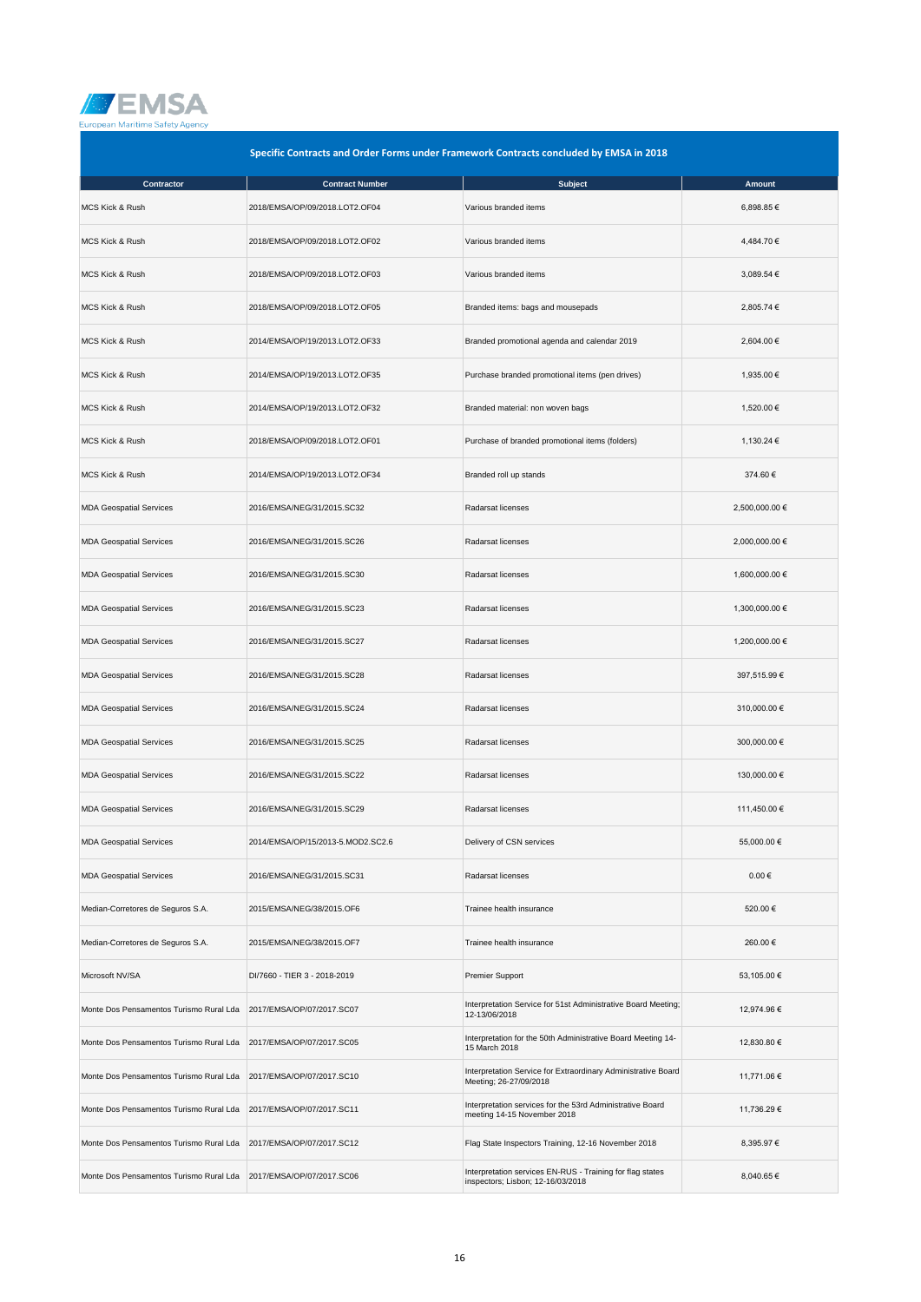

| Specific Contracts and Order Forms under Framework Contracts concluded by EMSA in 2018 |                                   |                                                                                                |                |
|----------------------------------------------------------------------------------------|-----------------------------------|------------------------------------------------------------------------------------------------|----------------|
| Contractor                                                                             | <b>Contract Number</b>            | <b>Subject</b>                                                                                 | Amount         |
| MCS Kick & Rush                                                                        | 2018/EMSA/OP/09/2018.LOT2.OF04    | Various branded items                                                                          | 6,898.85€      |
| <b>MCS Kick &amp; Rush</b>                                                             | 2018/EMSA/OP/09/2018.LOT2.OF02    | Various branded items                                                                          | 4,484.70 €     |
| MCS Kick & Rush                                                                        | 2018/EMSA/OP/09/2018.LOT2.OF03    | Various branded items                                                                          | 3,089.54 €     |
| <b>MCS Kick &amp; Rush</b>                                                             | 2018/EMSA/OP/09/2018.LOT2.OF05    | Branded items: bags and mousepads                                                              | 2,805.74 €     |
| <b>MCS Kick &amp; Rush</b>                                                             | 2014/EMSA/OP/19/2013.LOT2.OF33    | Branded promotional agenda and calendar 2019                                                   | 2,604.00 €     |
| MCS Kick & Rush                                                                        | 2014/EMSA/OP/19/2013.LOT2.OF35    | Purchase branded promotional items (pen drives)                                                | 1,935.00 €     |
| <b>MCS Kick &amp; Rush</b>                                                             | 2014/EMSA/OP/19/2013.LOT2.OF32    | Branded material: non woven bags                                                               | 1,520.00 €     |
| MCS Kick & Rush                                                                        | 2018/EMSA/OP/09/2018.LOT2.OF01    | Purchase of branded promotional items (folders)                                                | 1,130.24 €     |
| <b>MCS Kick &amp; Rush</b>                                                             | 2014/EMSA/OP/19/2013.LOT2.OF34    | Branded roll up stands                                                                         | 374.60€        |
| <b>MDA Geospatial Services</b>                                                         | 2016/EMSA/NEG/31/2015.SC32        | Radarsat licenses                                                                              | 2,500,000.00 € |
| <b>MDA Geospatial Services</b>                                                         | 2016/EMSA/NEG/31/2015.SC26        | Radarsat licenses                                                                              | 2,000,000.00 € |
| <b>MDA Geospatial Services</b>                                                         | 2016/EMSA/NEG/31/2015.SC30        | Radarsat licenses                                                                              | 1,600,000.00 € |
| <b>MDA Geospatial Services</b>                                                         | 2016/EMSA/NEG/31/2015.SC23        | Radarsat licenses                                                                              | 1,300,000.00 € |
| <b>MDA Geospatial Services</b>                                                         | 2016/EMSA/NEG/31/2015.SC27        | Radarsat licenses                                                                              | 1,200,000.00 € |
| <b>MDA Geospatial Services</b>                                                         | 2016/EMSA/NEG/31/2015.SC28        | Radarsat licenses                                                                              | 397,515.99 €   |
| <b>MDA Geospatial Services</b>                                                         | 2016/EMSA/NEG/31/2015.SC24        | Radarsat licenses                                                                              | 310,000.00 €   |
| <b>MDA Geospatial Services</b>                                                         | 2016/EMSA/NEG/31/2015.SC25        | Radarsat licenses                                                                              | 300,000.00 €   |
| <b>MDA Geospatial Services</b>                                                         | 2016/EMSA/NEG/31/2015.SC22        | Radarsat licenses                                                                              | 130,000.00 €   |
| <b>MDA Geospatial Services</b>                                                         | 2016/EMSA/NEG/31/2015.SC29        | Radarsat licenses                                                                              | 111,450.00 €   |
| <b>MDA Geospatial Services</b>                                                         | 2014/EMSA/OP/15/2013-5.MOD2.SC2.6 | Delivery of CSN services                                                                       | 55,000.00 €    |
| <b>MDA Geospatial Services</b>                                                         | 2016/EMSA/NEG/31/2015.SC31        | Radarsat licenses                                                                              | $0.00 \in$     |
| Median-Corretores de Seguros S.A.                                                      | 2015/EMSA/NEG/38/2015.OF6         | Trainee health insurance                                                                       | 520.00€        |
| Median-Corretores de Seguros S.A.                                                      | 2015/EMSA/NEG/38/2015.OF7         | Trainee health insurance                                                                       | 260.00€        |
| Microsoft NV/SA                                                                        | DI/7660 - TIER 3 - 2018-2019      | Premier Support                                                                                | 53,105.00 €    |
| Monte Dos Pensamentos Turismo Rural Lda                                                | 2017/EMSA/OP/07/2017.SC07         | Interpretation Service for 51st Administrative Board Meeting;<br>12-13/06/2018                 | 12,974.96 €    |
| Monte Dos Pensamentos Turismo Rural Lda                                                | 2017/EMSA/OP/07/2017.SC05         | Interpretation for the 50th Administrative Board Meeting 14-<br>15 March 2018                  | 12,830.80 €    |
| Monte Dos Pensamentos Turismo Rural Lda                                                | 2017/EMSA/OP/07/2017.SC10         | Interpretation Service for Extraordinary Administrative Board<br>Meeting; 26-27/09/2018        | 11,771.06 €    |
| Monte Dos Pensamentos Turismo Rural Lda                                                | 2017/EMSA/OP/07/2017.SC11         | Interpretation services for the 53rd Administrative Board<br>meeting 14-15 November 2018       | 11,736.29 €    |
| Monte Dos Pensamentos Turismo Rural Lda                                                | 2017/EMSA/OP/07/2017.SC12         | Flag State Inspectors Training, 12-16 November 2018                                            | 8,395.97 €     |
| Monte Dos Pensamentos Turismo Rural Lda                                                | 2017/EMSA/OP/07/2017.SC06         | Interpretation services EN-RUS - Training for flag states<br>inspectors; Lisbon; 12-16/03/2018 | 8,040.65 €     |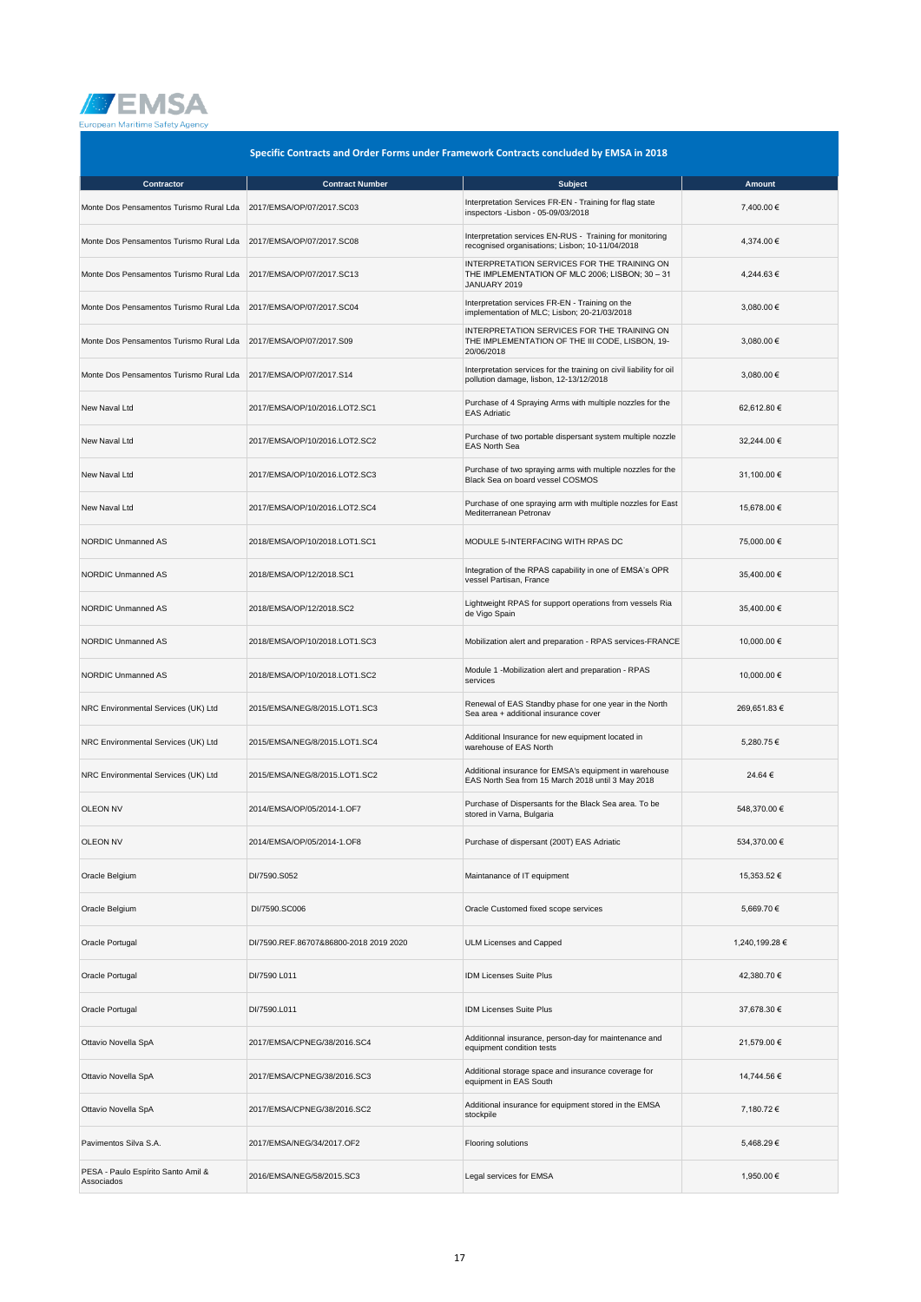

| Specific Contracts and Order Forms under Framework Contracts concluded by EMSA in 2018 |                                        |                                                                                                                |                |
|----------------------------------------------------------------------------------------|----------------------------------------|----------------------------------------------------------------------------------------------------------------|----------------|
| Contractor                                                                             | <b>Contract Number</b>                 | <b>Subject</b>                                                                                                 | <b>Amount</b>  |
| Monte Dos Pensamentos Turismo Rural Lda                                                | 2017/EMSA/OP/07/2017.SC03              | Interpretation Services FR-EN - Training for flag state<br>inspectors -Lisbon - 05-09/03/2018                  | 7,400.00 €     |
| Monte Dos Pensamentos Turismo Rural Lda                                                | 2017/EMSA/OP/07/2017.SC08              | Interpretation services EN-RUS - Training for monitoring<br>recognised organisations; Lisbon; 10-11/04/2018    | 4,374.00 €     |
| Monte Dos Pensamentos Turismo Rural Lda                                                | 2017/EMSA/OP/07/2017.SC13              | INTERPRETATION SERVICES FOR THE TRAINING ON<br>THE IMPLEMENTATION OF MLC 2006; LISBON; 30 - 31<br>JANUARY 2019 | 4,244.63 €     |
| Monte Dos Pensamentos Turismo Rural Lda                                                | 2017/EMSA/OP/07/2017.SC04              | Interpretation services FR-EN - Training on the<br>implementation of MLC; Lisbon; 20-21/03/2018                | 3,080.00 €     |
| Monte Dos Pensamentos Turismo Rural Lda                                                | 2017/EMSA/OP/07/2017.S09               | INTERPRETATION SERVICES FOR THE TRAINING ON<br>THE IMPLEMENTATION OF THE III CODE, LISBON, 19-<br>20/06/2018   | 3,080.00 €     |
| Monte Dos Pensamentos Turismo Rural Lda                                                | 2017/EMSA/OP/07/2017.S14               | Interpretation services for the training on civil liability for oil<br>pollution damage, lisbon, 12-13/12/2018 | 3,080.00 €     |
| New Naval Ltd                                                                          | 2017/EMSA/OP/10/2016.LOT2.SC1          | Purchase of 4 Spraying Arms with multiple nozzles for the<br><b>EAS Adriatic</b>                               | 62,612.80 €    |
| New Naval Ltd                                                                          | 2017/EMSA/OP/10/2016.LOT2.SC2          | Purchase of two portable dispersant system multiple nozzle<br><b>EAS North Sea</b>                             | 32,244.00 €    |
| New Naval Ltd                                                                          | 2017/EMSA/OP/10/2016.LOT2.SC3          | Purchase of two spraying arms with multiple nozzles for the<br>Black Sea on board vessel COSMOS                | 31,100.00 €    |
| New Naval Ltd                                                                          | 2017/EMSA/OP/10/2016.LOT2.SC4          | Purchase of one spraying arm with multiple nozzles for East<br>Mediterranean Petronav                          | 15,678.00 €    |
| <b>NORDIC Unmanned AS</b>                                                              | 2018/EMSA/OP/10/2018.LOT1.SC1          | MODULE 5-INTERFACING WITH RPAS DC                                                                              | 75,000.00 €    |
| <b>NORDIC Unmanned AS</b>                                                              | 2018/EMSA/OP/12/2018.SC1               | Integration of the RPAS capability in one of EMSA's OPR<br>vessel Partisan, France                             | 35,400.00 €    |
| <b>NORDIC Unmanned AS</b>                                                              | 2018/EMSA/OP/12/2018.SC2               | Lightweight RPAS for support operations from vessels Ria<br>de Vigo Spain                                      | 35,400.00 €    |
| NORDIC Unmanned AS                                                                     | 2018/EMSA/OP/10/2018.LOT1.SC3          | Mobilization alert and preparation - RPAS services-FRANCE                                                      | 10,000.00 €    |
| <b>NORDIC Unmanned AS</b>                                                              | 2018/EMSA/OP/10/2018.LOT1.SC2          | Module 1 -Mobilization alert and preparation - RPAS<br>services                                                | 10,000.00 €    |
| NRC Environmental Services (UK) Ltd                                                    | 2015/EMSA/NEG/8/2015.LOT1.SC3          | Renewal of EAS Standby phase for one year in the North<br>Sea area + additional insurance cover                | 269,651.83 €   |
| NRC Environmental Services (UK) Ltd                                                    | 2015/EMSA/NEG/8/2015.LOT1.SC4          | Additional Insurance for new equipment located in<br>warehouse of EAS North                                    | 5,280.75€      |
| NRC Environmental Services (UK) Ltd                                                    | 2015/EMSA/NEG/8/2015.LOT1.SC2          | Additional insurance for EMSA's equipment in warehouse<br>EAS North Sea from 15 March 2018 until 3 May 2018    | 24.64 €        |
| <b>OLEON NV</b>                                                                        | 2014/EMSA/OP/05/2014-1.OF7             | Purchase of Dispersants for the Black Sea area. To be<br>stored in Varna, Bulgaria                             | 548,370.00 €   |
| <b>OLEON NV</b>                                                                        | 2014/EMSA/OP/05/2014-1.OF8             | Purchase of dispersant (200T) EAS Adriatic                                                                     | 534,370.00 €   |
| Oracle Belgium                                                                         | DI/7590.S052                           | Maintanance of IT equipment                                                                                    | 15,353.52 €    |
| Oracle Belgium                                                                         | DI/7590.SC006                          | Oracle Customed fixed scope services                                                                           | 5,669.70€      |
| Oracle Portugal                                                                        | DI/7590.REF.86707&86800-2018 2019 2020 | <b>ULM Licenses and Capped</b>                                                                                 | 1,240,199.28 € |
| Oracle Portugal                                                                        | DI/7590 L011                           | IDM Licenses Suite Plus                                                                                        | 42,380.70 €    |
| Oracle Portugal                                                                        | DI/7590.L011                           | IDM Licenses Suite Plus                                                                                        | 37,678.30 €    |
| Ottavio Novella SpA                                                                    | 2017/EMSA/CPNEG/38/2016.SC4            | Additionnal insurance, person-day for maintenance and<br>equipment condition tests                             | 21,579.00 €    |
| Ottavio Novella SpA                                                                    | 2017/EMSA/CPNEG/38/2016.SC3            | Additional storage space and insurance coverage for<br>equipment in EAS South                                  | 14,744.56 €    |
| Ottavio Novella SpA                                                                    | 2017/EMSA/CPNEG/38/2016.SC2            | Additional insurance for equipment stored in the EMSA<br>stockpile                                             | 7,180.72 €     |
| Pavimentos Silva S.A.                                                                  | 2017/EMSA/NEG/34/2017.OF2              | Flooring solutions                                                                                             | 5,468.29 €     |
| PESA - Paulo Espírito Santo Amil &<br>Associados                                       | 2016/EMSA/NEG/58/2015.SC3              | Legal services for EMSA                                                                                        | 1,950.00 €     |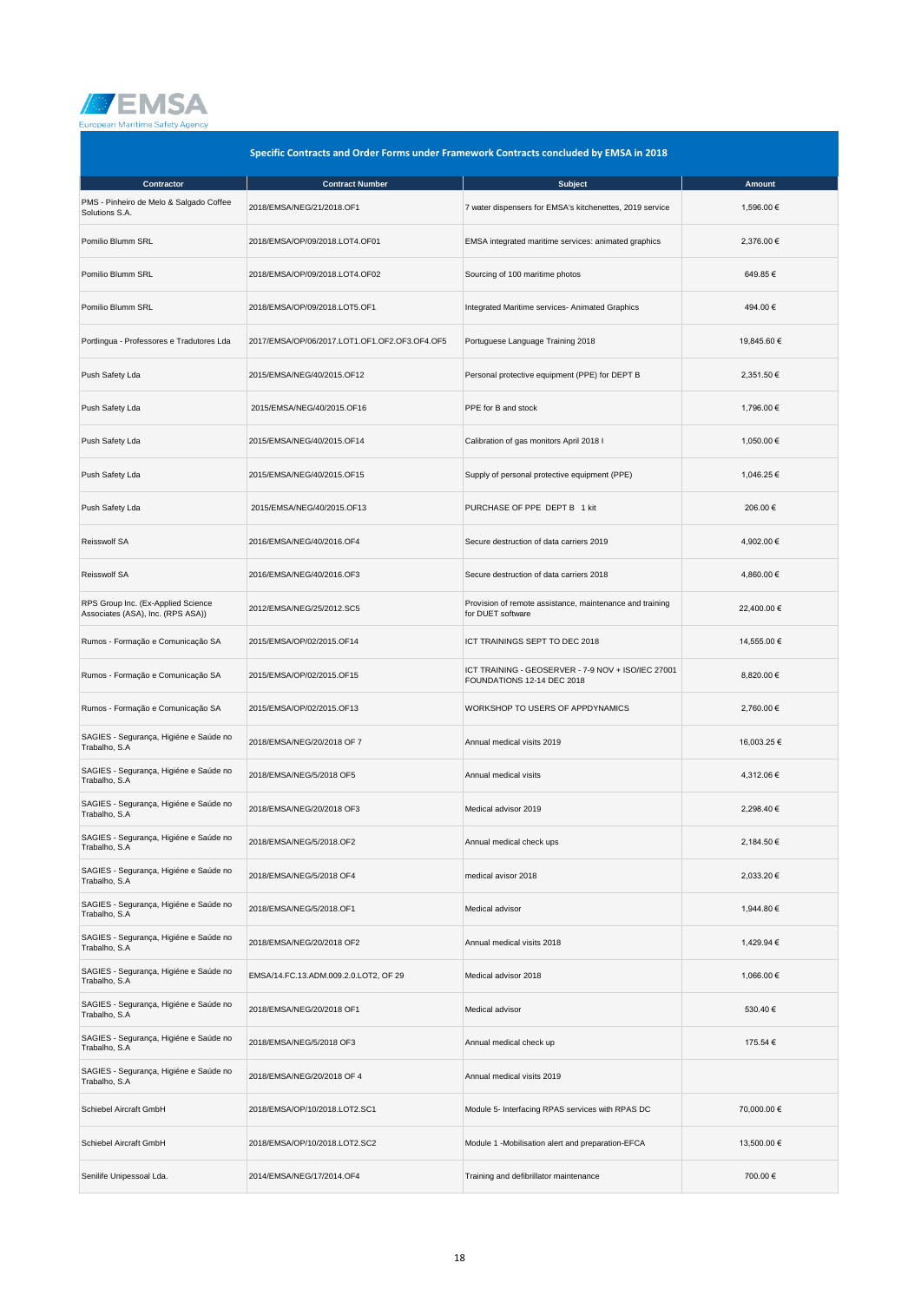

| Specific Contracts and Order Forms under Framework Contracts concluded by EMSA in 2018 |                                               |                                                                                  |             |  |
|----------------------------------------------------------------------------------------|-----------------------------------------------|----------------------------------------------------------------------------------|-------------|--|
| Contractor                                                                             | <b>Contract Number</b>                        | <b>Subject</b>                                                                   | Amount      |  |
| PMS - Pinheiro de Melo & Salgado Coffee<br>Solutions S.A.                              | 2018/EMSA/NEG/21/2018.OF1                     | 7 water dispensers for EMSA's kitchenettes, 2019 service                         | 1,596.00 €  |  |
| Pomilio Blumm SRL                                                                      | 2018/EMSA/OP/09/2018.LOT4.OF01                | EMSA integrated maritime services: animated graphics                             | 2,376.00 €  |  |
| Pomilio Blumm SRL                                                                      | 2018/EMSA/OP/09/2018.LOT4.OF02                | Sourcing of 100 maritime photos                                                  | 649.85€     |  |
| Pomilio Blumm SRL                                                                      | 2018/EMSA/OP/09/2018.LOT5.OF1                 | Integrated Maritime services- Animated Graphics                                  | 494.00€     |  |
| Portlingua - Professores e Tradutores Lda                                              | 2017/EMSA/OP/06/2017.LOT1.OF1.OF2.OF3.OF4.OF5 | Portuguese Language Training 2018                                                | 19,845.60 € |  |
| Push Safety Lda                                                                        | 2015/EMSA/NEG/40/2015.OF12                    | Personal protective equipment (PPE) for DEPT B                                   | 2,351.50 €  |  |
| Push Safety Lda                                                                        | 2015/EMSA/NEG/40/2015.OF16                    | PPE for B and stock                                                              | 1,796.00 €  |  |
| Push Safety Lda                                                                        | 2015/EMSA/NEG/40/2015.OF14                    | Calibration of gas monitors April 2018 I                                         | 1,050.00 €  |  |
| Push Safety Lda                                                                        | 2015/EMSA/NEG/40/2015.OF15                    | Supply of personal protective equipment (PPE)                                    | 1,046.25 €  |  |
| Push Safety Lda                                                                        | 2015/EMSA/NEG/40/2015.OF13                    | PURCHASE OF PPE DEPT B 1 kit                                                     | 206.00€     |  |
| Reisswolf SA                                                                           | 2016/EMSA/NEG/40/2016.OF4                     | Secure destruction of data carriers 2019                                         | 4,902.00 €  |  |
| Reisswolf SA                                                                           | 2016/EMSA/NEG/40/2016.OF3                     | Secure destruction of data carriers 2018                                         | 4,860.00 €  |  |
| RPS Group Inc. (Ex-Applied Science<br>Associates (ASA), Inc. (RPS ASA))                | 2012/EMSA/NEG/25/2012.SC5                     | Provision of remote assistance, maintenance and training<br>for DUET software    | 22,400.00 € |  |
| Rumos - Formação e Comunicação SA                                                      | 2015/EMSA/OP/02/2015.OF14                     | ICT TRAININGS SEPT TO DEC 2018                                                   | 14,555.00 € |  |
| Rumos - Formação e Comunicação SA                                                      | 2015/EMSA/OP/02/2015.OF15                     | ICT TRAINING - GEOSERVER - 7-9 NOV + ISO/IEC 27001<br>FOUNDATIONS 12-14 DEC 2018 | 8,820.00 €  |  |
| Rumos - Formação e Comunicação SA                                                      | 2015/EMSA/OP/02/2015.OF13                     | WORKSHOP TO USERS OF APPDYNAMICS                                                 | 2,760.00 €  |  |
| SAGIES - Segurança, Higiéne e Saúde no<br>Trabalho, S.A                                | 2018/EMSA/NEG/20/2018 OF 7                    | Annual medical visits 2019                                                       | 16,003.25 € |  |
| SAGIES - Segurança, Higiéne e Saúde no<br>Trabalho, S.A                                | 2018/EMSA/NEG/5/2018 OF5                      | Annual medical visits                                                            | 4,312.06 €  |  |
| SAGIES - Segurança, Higiéne e Saúde no<br>Trabalho, S.A                                | 2018/EMSA/NEG/20/2018 OF3                     | Medical advisor 2019                                                             | 2,298.40 €  |  |
| SAGIES - Segurança, Higiéne e Saúde no<br>Trabalho, S.A                                | 2018/EMSA/NEG/5/2018.OF2                      | Annual medical check ups                                                         | 2,184.50 €  |  |
| SAGIES - Segurança, Higiéne e Saúde no<br>Trabalho, S.A                                | 2018/EMSA/NEG/5/2018 OF4                      | medical avisor 2018                                                              | 2,033.20 €  |  |
| SAGIES - Segurança, Higiéne e Saúde no<br>Trabalho, S.A                                | 2018/EMSA/NEG/5/2018.OF1                      | Medical advisor                                                                  | 1,944.80 €  |  |
| SAGIES - Segurança, Higiéne e Saúde no<br>Trabalho, S.A                                | 2018/EMSA/NEG/20/2018 OF2                     | Annual medical visits 2018                                                       | 1,429.94 €  |  |
| SAGIES - Segurança, Higiéne e Saúde no<br>Trabalho, S.A                                | EMSA/14.FC.13.ADM.009.2.0.LOT2, OF 29         | Medical advisor 2018                                                             | 1,066.00 €  |  |
| SAGIES - Segurança, Higiéne e Saúde no<br>Trabalho, S.A                                | 2018/EMSA/NEG/20/2018 OF1                     | Medical advisor                                                                  | 530.40€     |  |
| SAGIES - Segurança, Higiéne e Saúde no<br>Trabalho, S.A                                | 2018/EMSA/NEG/5/2018 OF3                      | Annual medical check up                                                          | 175.54 €    |  |
| SAGIES - Segurança, Higiéne e Saúde no<br>Trabalho, S.A                                | 2018/EMSA/NEG/20/2018 OF 4                    | Annual medical visits 2019                                                       |             |  |
| Schiebel Aircraft GmbH                                                                 | 2018/EMSA/OP/10/2018.LOT2.SC1                 | Module 5- Interfacing RPAS services with RPAS DC                                 | 70,000.00 € |  |
| Schiebel Aircraft GmbH                                                                 | 2018/EMSA/OP/10/2018.LOT2.SC2                 | Module 1 -Mobilisation alert and preparation-EFCA                                | 13,500.00 € |  |
| Senilife Unipessoal Lda.                                                               | 2014/EMSA/NEG/17/2014.OF4                     | Training and defibrillator maintenance                                           | 700.00€     |  |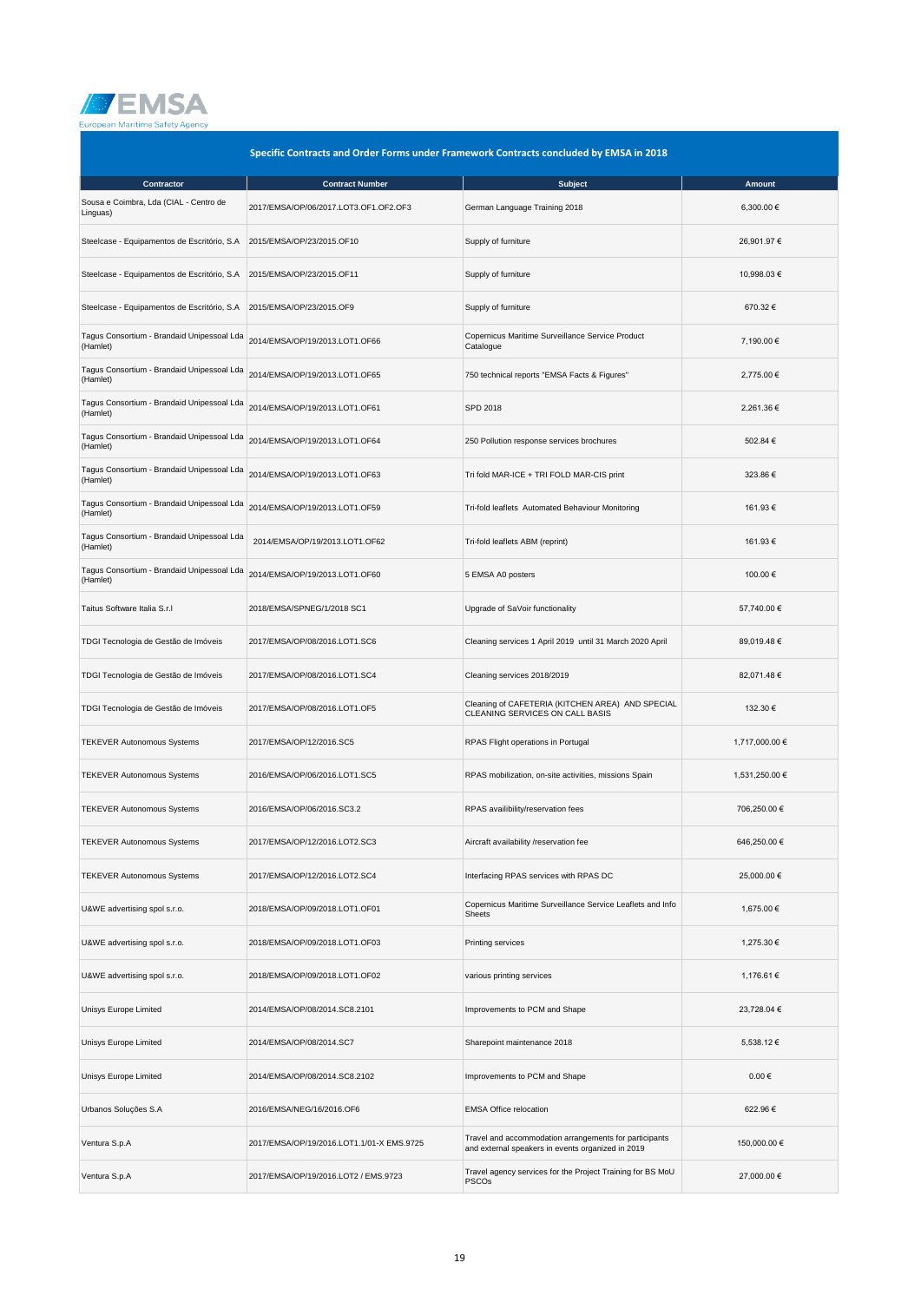

| Specific Contracts and Order Forms under Framework Contracts concluded by EMSA in 2018 |                                           |                                                                                                             |                |
|----------------------------------------------------------------------------------------|-------------------------------------------|-------------------------------------------------------------------------------------------------------------|----------------|
| Contractor                                                                             | <b>Contract Number</b>                    | <b>Subject</b>                                                                                              | Amount         |
| Sousa e Coimbra, Lda (CIAL - Centro de<br>Linguas)                                     | 2017/EMSA/OP/06/2017.LOT3.OF1.OF2.OF3     | German Language Training 2018                                                                               | 6,300.00 €     |
| Steelcase - Equipamentos de Escritório, S.A                                            | 2015/EMSA/OP/23/2015.OF10                 | Supply of furniture                                                                                         | 26,901.97 €    |
| Steelcase - Equipamentos de Escritório, S.A                                            | 2015/EMSA/OP/23/2015.OF11                 | Supply of furniture                                                                                         | 10,998.03 €    |
| Steelcase - Equipamentos de Escritório, S.A                                            | 2015/EMSA/OP/23/2015.OF9                  | Supply of furniture                                                                                         | 670.32€        |
| Tagus Consortium - Brandaid Unipessoal Lda<br>(Hamlet)                                 | 2014/EMSA/OP/19/2013.LOT1.OF66            | Copernicus Maritime Surveillance Service Product<br>Catalogue                                               | 7,190.00 €     |
| Tagus Consortium - Brandaid Unipessoal Lda<br>(Hamlet)                                 | 2014/EMSA/OP/19/2013.LOT1.OF65            | 750 technical reports "EMSA Facts & Figures"                                                                | 2,775.00 €     |
| Tagus Consortium - Brandaid Unipessoal Lda<br>(Hamlet)                                 | 2014/EMSA/OP/19/2013.LOT1.OF61            | SPD 2018                                                                                                    | 2,261.36 €     |
| Tagus Consortium - Brandaid Unipessoal Lda<br>(Hamlet)                                 | 2014/EMSA/OP/19/2013.LOT1.OF64            | 250 Pollution response services brochures                                                                   | 502.84 €       |
| Tagus Consortium - Brandaid Unipessoal Lda<br>(Hamlet)                                 | 2014/EMSA/OP/19/2013.LOT1.OF63            | Tri fold MAR-ICE + TRI FOLD MAR-CIS print                                                                   | 323.86 €       |
| Tagus Consortium - Brandaid Unipessoal Lda<br>(Hamlet)                                 | 2014/EMSA/OP/19/2013.LOT1.OF59            | Tri-fold leaflets Automated Behaviour Monitoring                                                            | 161.93€        |
| Tagus Consortium - Brandaid Unipessoal Lda<br>(Hamlet)                                 | 2014/EMSA/OP/19/2013.LOT1.OF62            | Tri-fold leaflets ABM (reprint)                                                                             | 161.93€        |
| Tagus Consortium - Brandaid Unipessoal Lda<br>(Hamlet)                                 | 2014/EMSA/OP/19/2013.LOT1.OF60            | 5 EMSA A0 posters                                                                                           | 100.00€        |
| Taitus Software Italia S.r.I                                                           | 2018/EMSA/SPNEG/1/2018 SC1                | Upgrade of SaVoir functionality                                                                             | 57,740.00 €    |
| TDGI Tecnologia de Gestão de Imóveis                                                   | 2017/EMSA/OP/08/2016.LOT1.SC6             | Cleaning services 1 April 2019 until 31 March 2020 April                                                    | 89,019.48 €    |
| TDGI Tecnologia de Gestão de Imóveis                                                   | 2017/EMSA/OP/08/2016.LOT1.SC4             | Cleaning services 2018/2019                                                                                 | 82,071.48 €    |
| TDGI Tecnologia de Gestão de Imóveis                                                   | 2017/EMSA/OP/08/2016.LOT1.OF5             | Cleaning of CAFETERIA (KITCHEN AREA) AND SPECIAL<br>CLEANING SERVICES ON CALL BASIS                         | 132.30 €       |
| <b>TEKEVER Autonomous Systems</b>                                                      | 2017/EMSA/OP/12/2016.SC5                  | RPAS Flight operations in Portugal                                                                          | 1,717,000.00 € |
| <b>TEKEVER Autonomous Systems</b>                                                      | 2016/EMSA/OP/06/2016.LOT1.SC5             | RPAS mobilization, on-site activities, missions Spain                                                       | 1,531,250.00 € |
| <b>TEKEVER Autonomous Systems</b>                                                      | 2016/EMSA/OP/06/2016.SC3.2                | RPAS availibility/reservation fees                                                                          | 706,250.00 €   |
| <b>TEKEVER Autonomous Systems</b>                                                      | 2017/EMSA/OP/12/2016.LOT2.SC3             | Aircraft availability /reservation fee                                                                      | 646,250.00 €   |
| <b>TEKEVER Autonomous Systems</b>                                                      | 2017/EMSA/OP/12/2016.LOT2.SC4             | Interfacing RPAS services with RPAS DC                                                                      | 25,000.00 €    |
| U&WE advertising spol s.r.o.                                                           | 2018/EMSA/OP/09/2018.LOT1.OF01            | Copernicus Maritime Surveillance Service Leaflets and Info<br>Sheets                                        | 1,675.00 €     |
| U&WE advertising spol s.r.o.                                                           | 2018/EMSA/OP/09/2018.LOT1.OF03            | Printing services                                                                                           | 1,275.30 €     |
| U&WE advertising spol s.r.o.                                                           | 2018/EMSA/OP/09/2018.LOT1.OF02            | various printing services                                                                                   | 1,176.61 €     |
| Unisys Europe Limited                                                                  | 2014/EMSA/OP/08/2014.SC8.2101             | Improvements to PCM and Shape                                                                               | 23,728.04 €    |
| Unisys Europe Limited                                                                  | 2014/EMSA/OP/08/2014.SC7                  | Sharepoint maintenance 2018                                                                                 | 5,538.12 €     |
| Unisys Europe Limited                                                                  | 2014/EMSA/OP/08/2014.SC8.2102             | Improvements to PCM and Shape                                                                               | $0.00\in$      |
| Urbanos Soluções S.A                                                                   | 2016/EMSA/NEG/16/2016.OF6                 | <b>EMSA Office relocation</b>                                                                               | 622.96€        |
| Ventura S.p.A                                                                          | 2017/EMSA/OP/19/2016.LOT1.1/01-X EMS.9725 | Travel and accommodation arrangements for participants<br>and external speakers in events organized in 2019 | 150,000.00 €   |
| Ventura S.p.A                                                                          | 2017/EMSA/OP/19/2016.LOT2 / EMS.9723      | Travel agency services for the Project Training for BS MoU<br><b>PSCOs</b>                                  | 27,000.00 €    |